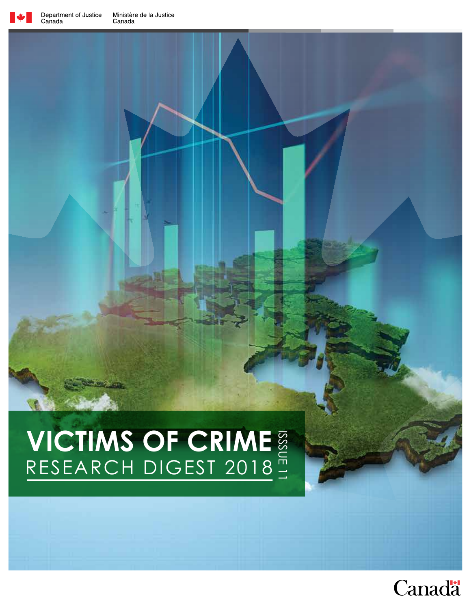

Department of Justice<br>Canada Ministère de la Justice<br>Canada

# **VICTIMS OF CRIME**  ISSSUE 11 RESEARCH DIGEST 2018

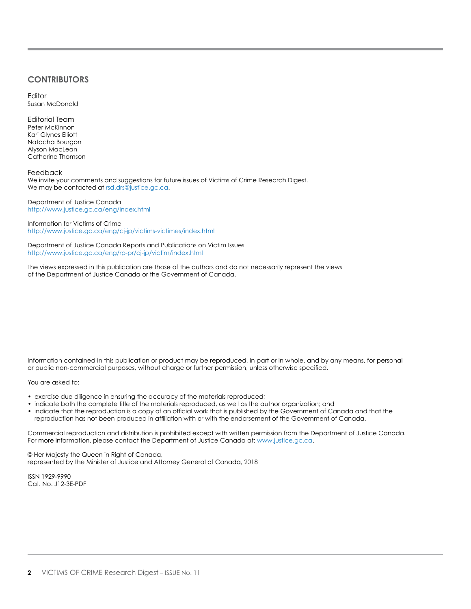#### **CONTRIBUTORS**

Editor Susan McDonald

Editorial Team Peter McKinnon Kari Glynes Elliott Natacha Bourgon Alyson MacLean Catherine Thomson

Feedback We invite your comments and suggestions for future issues of Victims of Crime Research Digest. We may be contacted at [rsd.drs@justice.gc.ca.](mailto:mailto:rsd.drs%40justice.gc.ca?subject=)

Department of Justice Canada <http://www.justice.gc.ca/eng/index.html>

Information for Victims of Crime <http://www.justice.gc.ca/eng/cj-jp/victims-victimes/index.html>

Department of Justice Canada Reports and Publications on Victim Issues <http://www.justice.gc.ca/eng/rp-pr/cj-jp/victim/index.html>

The views expressed in this publication are those of the authors and do not necessarily represent the views of the Department of Justice Canada or the Government of Canada.

Information contained in this publication or product may be reproduced, in part or in whole, and by any means, for personal or public non-commercial purposes, without charge or further permission, unless otherwise specified.

You are asked to:

- exercise due diligence in ensuring the accuracy of the materials reproduced;
- indicate both the complete title of the materials reproduced, as well as the author organization; and
- indicate that the reproduction is a copy of an official work that is published by the Government of Canada and that the reproduction has not been produced in affiliation with or with the endorsement of the Government of Canada.

Commercial reproduction and distribution is prohibited except with written permission from the Department of Justice Canada. For more information, please contact the Department of Justice Canada at: [www.justice.gc.ca](http://www.justice.gc.ca).

© Her Majesty the Queen in Right of Canada, represented by the Minister of Justice and Attorney General of Canada, 2018

ISSN 1929-9990 Cat. No. J12-3E-PDF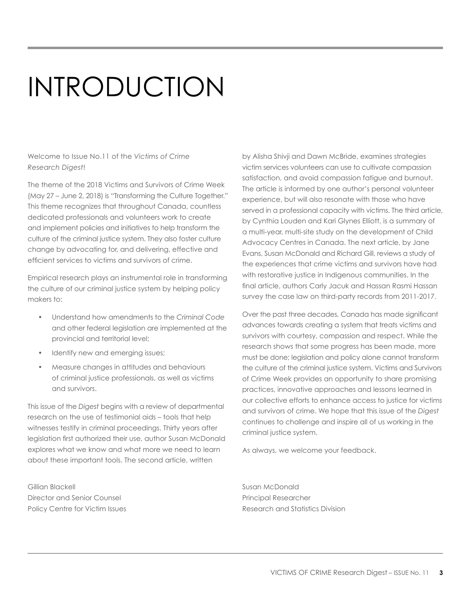# Introduction

Welcome to Issue No.11 of the *Victims of Crime Research Digest*!

The theme of the 2018 Victims and Survivors of Crime Week (May 27 – June 2, 2018) is "Transforming the Culture Together." This theme recognizes that throughout Canada, countless dedicated professionals and volunteers work to create and implement policies and initiatives to help transform the culture of the criminal justice system. They also foster culture change by advocating for, and delivering, effective and efficient services to victims and survivors of crime.

Empirical research plays an instrumental role in transforming the culture of our criminal justice system by helping policy makers to:

- Understand how amendments to the *Criminal Code* and other federal legislation are implemented at the provincial and territorial level;
- Identify new and emerging issues;
- Measure changes in attitudes and behaviours of criminal justice professionals, as well as victims and survivors.

This issue of the *Digest* begins with a review of departmental research on the use of testimonial aids – tools that help witnesses testify in criminal proceedings. Thirty years after legislation first authorized their use, author Susan McDonald explores what we know and what more we need to learn about these important tools. The second article, written

Gillian Blackell Susan McDonald Director and Senior Counsel Principal Researcher

by Alisha Shivji and Dawn McBride, examines strategies victim services volunteers can use to cultivate compassion satisfaction, and avoid compassion fatigue and burnout. The article is informed by one author's personal volunteer experience, but will also resonate with those who have served in a professional capacity with victims. The third article, by Cynthia Louden and Kari Glynes Elliott, is a summary of a multi-year, multi-site study on the development of Child Advocacy Centres in Canada. The next article, by Jane Evans, Susan McDonald and Richard Gill, reviews a study of the experiences that crime victims and survivors have had with restorative justice in Indigenous communities. In the final article, authors Carly Jacuk and Hassan Rasmi Hassan survey the case law on third-party records from 2011-2017.

Over the past three decades, Canada has made significant advances towards creating a system that treats victims and survivors with courtesy, compassion and respect. While the research shows that some progress has been made, more must be done; legislation and policy alone cannot transform the culture of the criminal justice system. Victims and Survivors of Crime Week provides an opportunity to share promising practices, innovative approaches and lessons learned in our collective efforts to enhance access to justice for victims and survivors of crime. We hope that this issue of the *Digest* continues to challenge and inspire all of us working in the criminal justice system.

As always, we welcome your feedback.

Policy Centre for Victim Issues Research and Statistics Division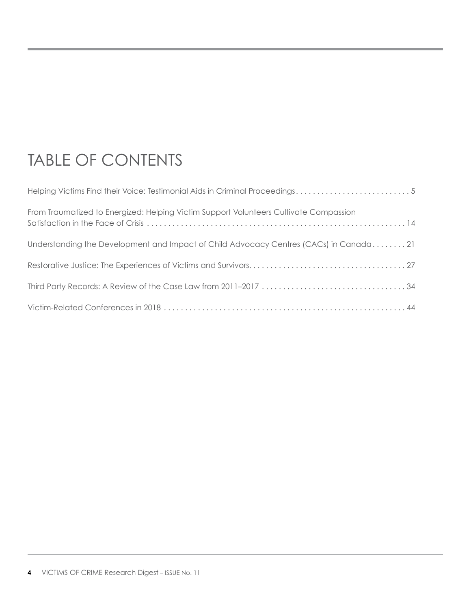# Table of Contents

| Helping Victims Find their Voice: Testimonial Aids in Criminal Proceedings5           |
|---------------------------------------------------------------------------------------|
| From Traumatized to Energized: Helping Victim Support Volunteers Cultivate Compassion |
| Understanding the Development and Impact of Child Advocacy Centres (CACs) in Canada21 |
|                                                                                       |
|                                                                                       |
|                                                                                       |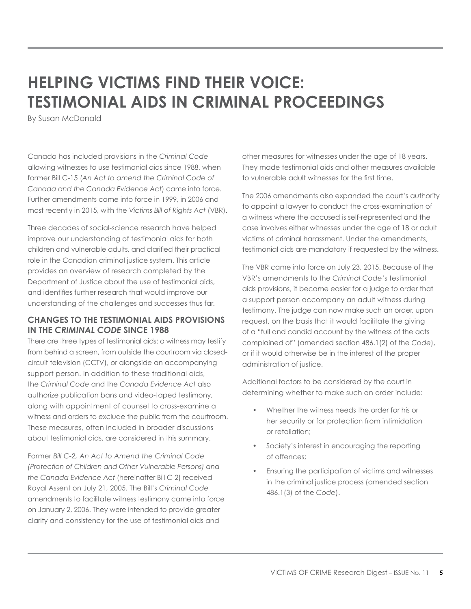# **Helping Victims Find their Voice: Testimonial Aids in Criminal Proceedings**

By Susan McDonald

Canada has included provisions in the *Criminal Code*  allowing witnesses to use testimonial aids since 1988, when former Bill C-15 (*An Act to amend the Criminal Code of Canada and the Canada Evidence Act*) came into force. Further amendments came into force in 1999, in 2006 and most recently in 2015, with the *Victims Bill of Rights Act* (VBR).

Three decades of social-science research have helped improve our understanding of testimonial aids for both children and vulnerable adults, and clarified their practical role in the Canadian criminal justice system. This article provides an overview of research completed by the Department of Justice about the use of testimonial aids, and identifies further research that would improve our understanding of the challenges and successes thus far.

# **Changes to the Testimonial Aids Provisions in the** *Criminal Code* **since 1988**

There are three types of testimonial aids: a witness may testify from behind a screen, from outside the courtroom via closedcircuit television (CCTV), or alongside an accompanying support person. In addition to these traditional aids, the *Criminal Code* and the *Canada Evidence Act* also authorize publication bans and video-taped testimony, along with appointment of counsel to cross-examine a witness and orders to exclude the public from the courtroom. These measures, often included in broader discussions about testimonial aids, are considered in this summary.

Former *Bill C-2, An Act to Amend the Criminal Code (Protection of Children and Other Vulnerable Persons) and the Canada Evidence Act* (hereinafter Bill C-2) received Royal Assent on July 21, 2005. The Bill's *Criminal Code*  amendments to facilitate witness testimony came into force on January 2, 2006. They were intended to provide greater clarity and consistency for the use of testimonial aids and

other measures for witnesses under the age of 18 years. They made testimonial aids and other measures available to vulnerable adult witnesses for the first time.

The 2006 amendments also expanded the court's authority to appoint a lawyer to conduct the cross-examination of a witness where the accused is self-represented and the case involves either witnesses under the age of 18 or adult victims of criminal harassment. Under the amendments, testimonial aids are mandatory if requested by the witness.

The VBR came into force on July 23, 2015. Because of the VBR's amendments to the *Criminal Code*'s testimonial aids provisions, it became easier for a judge to order that a support person accompany an adult witness during testimony. The judge can now make such an order, upon request, on the basis that it would facilitate the giving of a "full and candid account by the witness of the acts complained of" (amended section 486.1(2) of the *Code*), or if it would otherwise be in the interest of the proper administration of justice.

Additional factors to be considered by the court in determining whether to make such an order include:

- Whether the witness needs the order for his or her security or for protection from intimidation or retaliation;
- Society's interest in encouraging the reporting of offences;
- Ensuring the participation of victims and witnesses in the criminal justice process (amended section 486.1(3) of the *Code*).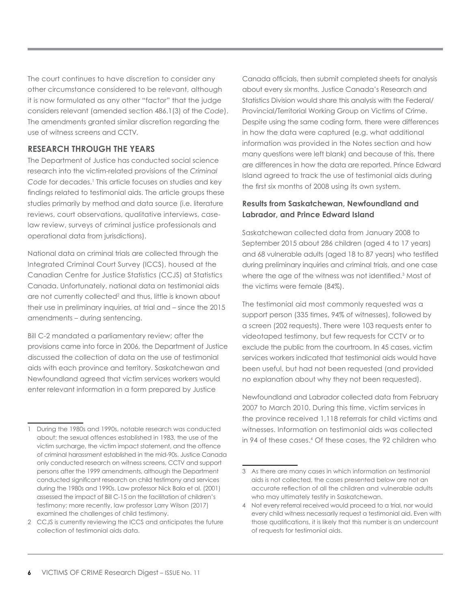The court continues to have discretion to consider any other circumstance considered to be relevant, although it is now formulated as any other "factor" that the judge considers relevant (amended section 486.1(3) of the *Code*). The amendments granted similar discretion regarding the use of witness screens and CCTV.

# **Research through the Years**

The Department of Justice has conducted social science research into the victim-related provisions of the *Criminal*  Code for decades.<sup>1</sup> This article focuses on studies and key findings related to testimonial aids. The article groups these studies primarily by method and data source (i.e. literature reviews, court observations, qualitative interviews, caselaw review, surveys of criminal justice professionals and operational data from jurisdictions).

National data on criminal trials are collected through the Integrated Criminal Court Survey (ICCS), housed at the Canadian Centre for Justice Statistics (CCJS) at Statistics Canada. Unfortunately, national data on testimonial aids are not currently collected<sup>2</sup> and thus, little is known about their use in preliminary inquiries, at trial and – since the 2015 amendments – during sentencing.

Bill C-2 mandated a parliamentary review; after the provisions came into force in 2006, the Department of Justice discussed the collection of data on the use of testimonial aids with each province and territory. Saskatchewan and Newfoundland agreed that victim services workers would enter relevant information in a form prepared by Justice

Canada officials, then submit completed sheets for analysis about every six months. Justice Canada's Research and Statistics Division would share this analysis with the Federal/ Provincial/Territorial Working Group on Victims of Crime. Despite using the same coding form, there were differences in how the data were captured (e.g. what additional information was provided in the Notes section and how many questions were left blank) and because of this, there are differences in how the data are reported. Prince Edward Island agreed to track the use of testimonial aids during the first six months of 2008 using its own system.

# **Results from Saskatchewan, Newfoundland and Labrador, and Prince Edward Island**

Saskatchewan collected data from January 2008 to September 2015 about 286 children (aged 4 to 17 years) and 68 vulnerable adults (aged 18 to 87 years) who testified during preliminary inquiries and criminal trials, and one case where the age of the witness was not identified.3 Most of the victims were female (84%).

The testimonial aid most commonly requested was a support person (335 times, 94% of witnesses), followed by a screen (202 requests). There were 103 requests enter to videotaped testimony, but few requests for CCTV or to exclude the public from the courtroom. In 45 cases, victim services workers indicated that testimonial aids would have been useful, but had not been requested (and provided no explanation about why they not been requested).

Newfoundland and Labrador collected data from February 2007 to March 2010. During this time, victim services in the province received 1,118 referrals for child victims and witnesses. Information on testimonial aids was collected in 94 of these cases.4 Of these cases, the 92 children who

<sup>1</sup> During the 1980s and 1990s, notable research was conducted about: the sexual offences established in 1983, the use of the victim surcharge, the victim impact statement, and the offence of criminal harassment established in the mid-90s. Justice Canada only conducted research on witness screens, CCTV and support persons after the 1999 amendments, although the Department conducted significant research on child testimony and services during the 1980s and 1990s. Law professor Nick Bala et al. (2001) assessed the impact of Bill C-15 on the facilitation of children's testimony; more recently, law professor Larry Wilson (2017) examined the challenges of child testimony.

<sup>2</sup> CCJS is currently reviewing the ICCS and anticipates the future collection of testimonial aids data.

<sup>3</sup> As there are many cases in which information on testimonial aids is not collected, the cases presented below are not an accurate reflection of all the children and vulnerable adults who may ultimately testify in Saskatchewan.

<sup>4</sup> Not every referral received would proceed to a trial, nor would every child witness necessarily request a testimonial aid. Even with those qualifications, it is likely that this number is an undercount of requests for testimonial aids.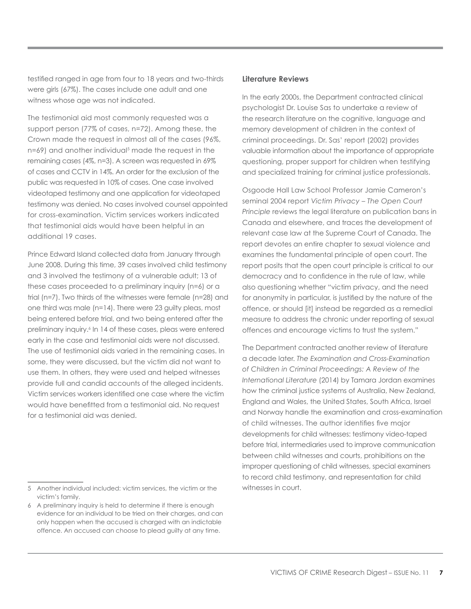testified ranged in age from four to 18 years and two-thirds were girls (67%). The cases include one adult and one witness whose age was not indicated.

The testimonial aid most commonly requested was a support person (77% of cases, n=72). Among these, the Crown made the request in almost all of the cases (96%, n=69) and another individual<sup>5</sup> made the request in the remaining cases (4%, n=3). A screen was requested in 69% of cases and CCTV in 14%. An order for the exclusion of the public was requested in 10% of cases. One case involved videotaped testimony and one application for videotaped testimony was denied. No cases involved counsel appointed for cross-examination. Victim services workers indicated that testimonial aids would have been helpful in an additional 19 cases.

Prince Edward Island collected data from January through June 2008. During this time, 39 cases involved child testimony and 3 involved the testimony of a vulnerable adult; 13 of these cases proceeded to a preliminary inquiry (n=6) or a trial (n=7). Two thirds of the witnesses were female (n=28) and one third was male (n=14). There were 23 guilty pleas, most being entered before trial, and two being entered after the preliminary inquiry.<sup>6</sup> In 14 of these cases, pleas were entered early in the case and testimonial aids were not discussed. The use of testimonial aids varied in the remaining cases. In some, they were discussed, but the victim did not want to use them. In others, they were used and helped witnesses provide full and candid accounts of the alleged incidents. Victim services workers identified one case where the victim would have benefitted from a testimonial aid. No request for a testimonial aid was denied.

#### **Literature Reviews**

In the early 2000s, the Department contracted clinical psychologist Dr. Louise Sas to undertake a review of the research literature on the cognitive, language and memory development of children in the context of criminal proceedings. Dr. Sas' report (2002) provides valuable information about the importance of appropriate questioning, proper support for children when testifying and specialized training for criminal justice professionals.

Osgoode Hall Law School Professor Jamie Cameron's seminal 2004 report *Victim Privacy – The Open Court Principle* reviews the legal literature on publication bans in Canada and elsewhere, and traces the development of relevant case law at the Supreme Court of Canada. The report devotes an entire chapter to sexual violence and examines the fundamental principle of open court. The report posits that the open court principle is critical to our democracy and to confidence in the rule of law, while also questioning whether "victim privacy, and the need for anonymity in particular, is justified by the nature of the offence, or should [it] instead be regarded as a remedial measure to address the chronic under reporting of sexual offences and encourage victims to trust the system."

The Department contracted another review of literature a decade later. *The Examination and Cross-Examination of Children in Criminal Proceedings: A Review of the International Literature* (2014) by Tamara Jordan examines how the criminal justice systems of Australia, New Zealand, England and Wales, the United States, South Africa, Israel and Norway handle the examination and cross-examination of child witnesses. The author identifies five major developments for child witnesses: testimony video-taped before trial, intermediaries used to improve communication between child witnesses and courts, prohibitions on the improper questioning of child witnesses, special examiners to record child testimony, and representation for child witnesses in court.

<sup>5</sup> Another individual included: victim services, the victim or the victim's family.

<sup>6</sup> A preliminary inquiry is held to determine if there is enough evidence for an individual to be tried on their charges, and can only happen when the accused is charged with an indictable offence. An accused can choose to plead guilty at any time.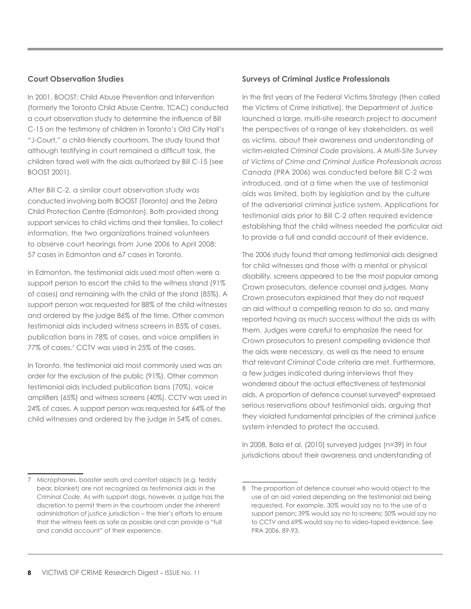#### **Court Observation Studies**

In 2001, BOOST: Child Abuse Prevention and Intervention (formerly the Toronto Child Abuse Centre, TCAC) conducted a court observation study to determine the influence of Bill C-15 on the testimony of children in Toronto's Old City Hall's "J-Court," a child-friendly courtroom. The study found that although testifying in court remained a difficult task, the children fared well with the aids authorized by Bill C-15 (see BOOST 2001).

After Bill C-2, a similar court observation study was conducted involving both BOOST (Toronto) and the Zebra Child Protection Centre (Edmonton). Both provided strong support services to child victims and their families. To collect information, the two organizations trained volunteers to observe court hearings from June 2006 to April 2008: 57 cases in Edmonton and 67 cases in Toronto.

In Edmonton, the testimonial aids used most often were a support person to escort the child to the witness stand (91% of cases) and remaining with the child at the stand (85%). A support person was requested for 88% of the child witnesses and ordered by the judge 86% of the time. Other common testimonial aids included witness screens in 85% of cases, publication bans in 78% of cases, and voice amplifiers in 77% of cases.<sup>7</sup> CCTV was used in 25% of the cases.

In Toronto, the testimonial aid most commonly used was an order for the exclusion of the public (91%). Other common testimonial aids included publication bans (70%), voice amplifiers (65%) and witness screens (40%). CCTV was used in 24% of cases. A support person was requested for 64% of the child witnesses and ordered by the judge in 54% of cases.

## **Surveys of Criminal Justice Professionals**

In the first years of the Federal Victims Strategy (then called the Victims of Crime Initiative), the Department of Justice launched a large, multi-site research project to document the perspectives of a range of key stakeholders, as well as victims, about their awareness and understanding of victim-related *Criminal Code* provisions. *A Multi-Site Survey of Victims of Crime and Criminal Justice Professionals across Canada* (PRA 2006) was conducted before Bill C-2 was introduced, and at a time when the use of testimonial aids was limited, both by legislation and by the culture of the adversarial criminal justice system. Applications for testimonial aids prior to Bill C-2 often required evidence establishing that the child witness needed the particular aid to provide a full and candid account of their evidence.

The 2006 study found that among testimonial aids designed for child witnesses and those with a mental or physical disability, screens appeared to be the most popular among Crown prosecutors, defence counsel and judges. Many Crown prosecutors explained that they do not request an aid without a compelling reason to do so, and many reported having as much success without the aids as with them. Judges were careful to emphasize the need for Crown prosecutors to present compelling evidence that the aids were necessary, as well as the need to ensure that relevant *Criminal Code* criteria are met. Furthermore, a few judges indicated during interviews that they wondered about the actual effectiveness of testimonial aids. A proportion of defence counsel surveyed<sup>8</sup> expressed serious reservations about testimonial aids, arguing that they violated fundamental principles of the criminal justice system intended to protect the accused.

In 2008, Bala et al. (2010) surveyed judges (n=39) in four jurisdictions about their awareness and understanding of

<sup>7</sup> Microphones, booster seats and comfort objects (e.g. teddy bear, blanket) are not recognized as testimonial aids in the *Criminal Code*. As with support dogs, however, a judge has the discretion to permit them in the courtroom under the inherent administration of justice jurisdiction – the trier's efforts to ensure that the witness feels as safe as possible and can provide a "full and candid account" of their experience.

<sup>8</sup> The proportion of defence counsel who would object to the use of an aid varied depending on the testimonial aid being requested. For example, 30% would say no to the use of a support person; 39% would say no to screens; 50% would say no to CCTV and 69% would say no to video-taped evidence. See PRA 2006, 89-93.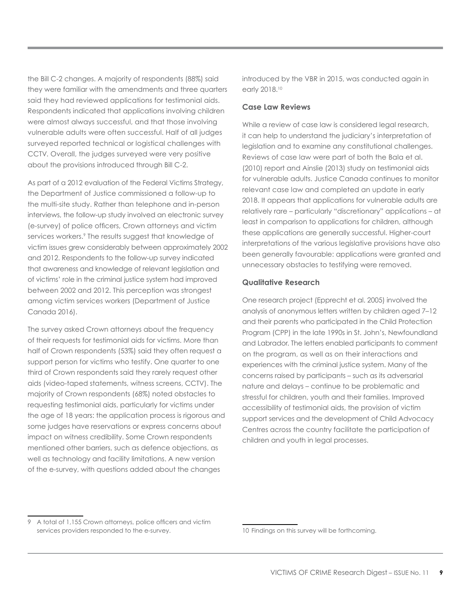the Bill C-2 changes. A majority of respondents (88%) said they were familiar with the amendments and three quarters said they had reviewed applications for testimonial aids. Respondents indicated that applications involving children were almost always successful, and that those involving vulnerable adults were often successful. Half of all judges surveyed reported technical or logistical challenges with CCTV. Overall, the judges surveyed were very positive about the provisions introduced through Bill C-2.

As part of a 2012 evaluation of the Federal Victims Strategy, the Department of Justice commissioned a follow-up to the multi-site study. Rather than telephone and in-person interviews, the follow-up study involved an electronic survey (e-survey) of police officers, Crown attorneys and victim services workers.<sup>9</sup> The results suggest that knowledge of victim issues grew considerably between approximately 2002 and 2012. Respondents to the follow-up survey indicated that awareness and knowledge of relevant legislation and of victims' role in the criminal justice system had improved between 2002 and 2012. This perception was strongest among victim services workers (Department of Justice Canada 2016).

The survey asked Crown attorneys about the frequency of their requests for testimonial aids for victims. More than half of Crown respondents (53%) said they often request a support person for victims who testify. One quarter to one third of Crown respondents said they rarely request other aids (video-taped statements, witness screens, CCTV). The majority of Crown respondents (68%) noted obstacles to requesting testimonial aids, particularly for victims under the age of 18 years: the application process is rigorous and some judges have reservations or express concerns about impact on witness credibility. Some Crown respondents mentioned other barriers, such as defence objections, as well as technology and facility limitations. A new version of the e-survey, with questions added about the changes

introduced by the VBR in 2015, was conducted again in early 2018.10

# **Case Law Reviews**

While a review of case law is considered legal research, it can help to understand the judiciary's interpretation of legislation and to examine any constitutional challenges. Reviews of case law were part of both the Bala et al. (2010) report and Ainslie (2013) study on testimonial aids for vulnerable adults. Justice Canada continues to monitor relevant case law and completed an update in early 2018. It appears that applications for vulnerable adults are relatively rare – particularly "discretionary" applications – at least in comparison to applications for children, although these applications are generally successful. Higher-court interpretations of the various legislative provisions have also been generally favourable: applications were granted and unnecessary obstacles to testifying were removed.

# **Qualitative Research**

One research project (Epprecht et al. 2005) involved the analysis of anonymous letters written by children aged 7–12 and their parents who participated in the Child Protection Program (CPP) in the late 1990s in St. John's, Newfoundland and Labrador. The letters enabled participants to comment on the program, as well as on their interactions and experiences with the criminal justice system. Many of the concerns raised by participants – such as its adversarial nature and delays – continue to be problematic and stressful for children, youth and their families. Improved accessibility of testimonial aids, the provision of victim support services and the development of Child Advocacy Centres across the country facilitate the participation of children and youth in legal processes.

<sup>9</sup> A total of 1,155 Crown attorneys, police officers and victim services providers responded to the e-survey.

<sup>10</sup> Findings on this survey will be forthcoming.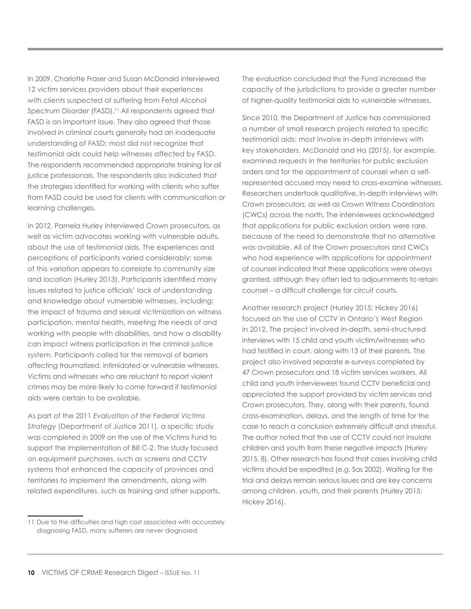In 2009, Charlotte Fraser and Susan McDonald interviewed 12 victim services providers about their experiences with clients suspected of suffering from Fetal Alcohol Spectrum Disorder (FASD).<sup>11</sup> All respondents agreed that FASD is an important issue. They also agreed that those involved in criminal courts generally had an inadequate understanding of FASD; most did not recognize that testimonial aids could help witnesses affected by FASD. The respondents recommended appropriate training for all justice professionals. The respondents also indicated that the strategies identified for working with clients who suffer from FASD could be used for clients with communication or learning challenges.

In 2012, Pamela Hurley interviewed Crown prosecutors, as well as victim advocates working with vulnerable adults, about the use of testimonial aids. The experiences and perceptions of participants varied considerably; some of this variation appears to correlate to community size and location (Hurley 2013). Participants identified many issues related to justice officials' lack of understanding and knowledge about vulnerable witnesses, including: the impact of trauma and sexual victimization on witness participation, mental health, meeting the needs of and working with people with disabilities, and how a disability can impact witness participation in the criminal justice system. Participants called for the removal of barriers affecting traumatized, intimidated or vulnerable witnesses. Victims and witnesses who are reluctant to report violent crimes may be more likely to come forward if testimonial aids were certain to be available.

As part of the 2011 *Evaluation of the Federal Victims Strategy* (Department of Justice 2011), a specific study was completed in 2009 on the use of the Victims Fund to support the implementation of Bill C-2. The study focused on equipment purchases, such as screens and CCTV systems that enhanced the capacity of provinces and territories to implement the amendments, along with related expenditures, such as training and other supports.

11 Due to the difficulties and high cost associated with accurately diagnosing FASD, many sufferers are never diagnosed.

The evaluation concluded that the Fund increased the capacity of the jurisdictions to provide a greater number of higher-quality testimonial aids to vulnerable witnesses.

Since 2010, the Department of Justice has commissioned a number of small research projects related to specific testimonial aids; most involve in-depth interviews with key stakeholders. McDonald and Ha (2015), for example, examined requests in the territories for public exclusion orders and for the appointment of counsel when a selfrepresented accused may need to cross-examine witnesses. Researchers undertook qualitative, in-depth interviews with Crown prosecutors, as well as Crown Witness Coordinators (CWCs) across the north. The interviewees acknowledged that applications for public exclusion orders were rare, because of the need to demonstrate that no alternative was available. All of the Crown prosecutors and CWCs who had experience with applications for appointment of counsel indicated that these applications were always granted, although they often led to adjournments to retain counsel – a difficult challenge for circuit courts.

Another research project (Hurley 2015; Hickey 2016) focused on the use of CCTV in Ontario's West Region in 2012. The project involved in-depth, semi-structured interviews with 15 child and youth victim/witnesses who had testified in court, along with 13 of their parents. The project also involved separate e-surveys completed by 47 Crown prosecutors and 18 victim services workers. All child and youth interviewees found CCTV beneficial and appreciated the support provided by victim services and Crown prosecutors. They, along with their parents, found cross-examination, delays, and the length of time for the case to reach a conclusion extremely difficult and stressful. The author noted that the use of CCTV could not insulate children and youth from these negative impacts (Hurley 2015, 8). Other research has found that cases involving child victims should be expedited (e.g. Sas 2002). Waiting for the trial and delays remain serious issues and are key concerns among children, youth, and their parents (Hurley 2015; Hickey 2016).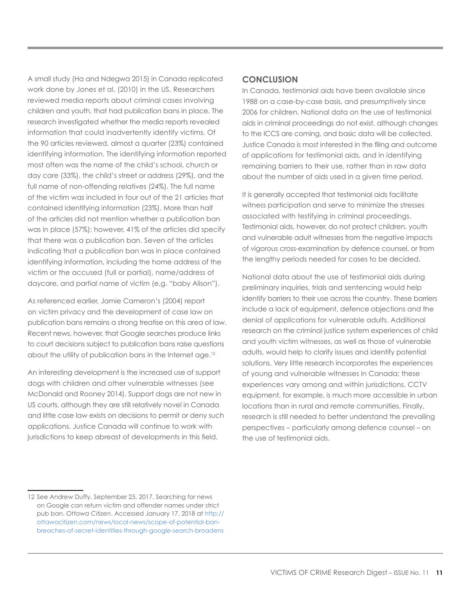A small study (Ha and Ndegwa 2015) in Canada replicated work done by Jones et al. (2010) in the US. Researchers reviewed media reports about criminal cases involving children and youth, that had publication bans in place. The research investigated whether the media reports revealed information that could inadvertently identify victims. Of the 90 articles reviewed, almost a quarter (23%) contained identifying information. The identifying information reported most often was the name of the child's school, church or day care (33%), the child's street or address (29%), and the full name of non-offending relatives (24%). The full name of the victim was included in four out of the 21 articles that contained identifying information (23%). More than half of the articles did not mention whether a publication ban was in place (57%); however, 41% of the articles did specify that there was a publication ban. Seven of the articles indicating that a publication ban was in place contained identifying information, including the home address of the victim or the accused (full or partial), name/address of daycare, and partial name of victim (e.g. "baby Alison").

As referenced earlier, Jamie Cameron's (2004) report on victim privacy and the development of case law on publication bans remains a strong treatise on this area of law. Recent news, however, that Google searches produce links to court decisions subject to publication bans raise questions about the utility of publication bans in the Internet age.<sup>12</sup>

An interesting development is the increased use of support dogs with children and other vulnerable witnesses (see McDonald and Rooney 2014). Support dogs are not new in US courts, although they are still relatively novel in Canada and little case law exists on decisions to permit or deny such applications. Justice Canada will continue to work with jurisdictions to keep abreast of developments in this field.

# **Conclusion**

In Canada, testimonial aids have been available since 1988 on a case-by-case basis, and presumptively since 2006 for children. National data on the use of testimonial aids in criminal proceedings do not exist, although changes to the ICCS are coming, and basic data will be collected. Justice Canada is most interested in the filing and outcome of applications for testimonial aids, and in identifying remaining barriers to their use, rather than in raw data about the number of aids used in a given time period.

It is generally accepted that testimonial aids facilitate witness participation and serve to minimize the stresses associated with testifying in criminal proceedings. Testimonial aids, however, do not protect children, youth and vulnerable adult witnesses from the negative impacts of vigorous cross-examination by defence counsel, or from the lengthy periods needed for cases to be decided.

National data about the use of testimonial aids during preliminary inquiries, trials and sentencing would help identify barriers to their use across the country. These barriers include a lack of equipment, defence objections and the denial of applications for vulnerable adults. Additional research on the criminal justice system experiences of child and youth victim witnesses, as well as those of vulnerable adults, would help to clarify issues and identify potential solutions. Very little research incorporates the experiences of young and vulnerable witnesses in Canada; these experiences vary among and within jurisdictions. CCTV equipment, for example, is much more accessible in urban locations than in rural and remote communities. Finally, research is still needed to better understand the prevailing perspectives – particularly among defence counsel – on the use of testimonial aids.

<sup>12</sup> See Andrew Duffy. September 25, 2017. Searching for news on Google can return victim and offender names under strict pub ban. *Ottawa Citizen*. Accessed January 17, 2018 at [http://](http://ottawacitizen.com/news/local-news/scope-of-potential-ban-breaches-of-secret-identities-through-google-search-broadens) [ottawacitizen.com/news/local-news/scope-of-potential-ban](http://ottawacitizen.com/news/local-news/scope-of-potential-ban-breaches-of-secret-identities-through-google-search-broadens)[breaches-of-secret-identities-through-google-search-broadens](http://ottawacitizen.com/news/local-news/scope-of-potential-ban-breaches-of-secret-identities-through-google-search-broadens)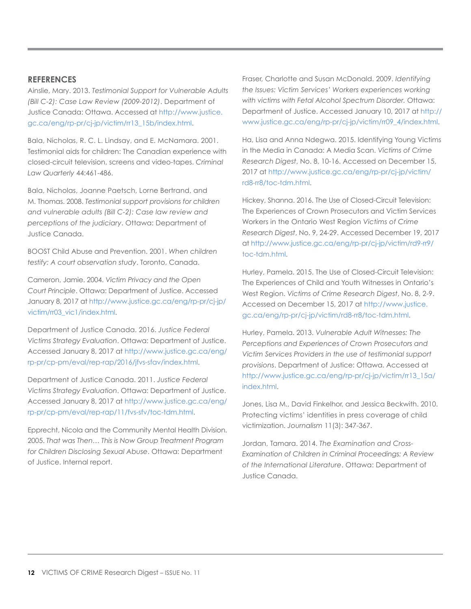## **References**

Ainslie, Mary. 2013. *Testimonial Support for Vulnerable Adults (Bill C-2): Case Law Review (2009-2012)*. Department of Justice Canada: Ottawa. Accessed at [http://www.justice.](http://www.justice.gc.ca/eng/rp-pr/cj-jp/victim/rr13_15b/index.html) [gc.ca/eng/rp-pr/cj-jp/victim/rr13\\_15b/index.html](http://www.justice.gc.ca/eng/rp-pr/cj-jp/victim/rr13_15b/index.html).

Bala, Nicholas, R. C. L. Lindsay, and E. McNamara. 2001. Testimonial aids for children: The Canadian experience with closed-circuit television, screens and video-tapes. *Criminal Law Quarterly* 44:461-486.

Bala, Nicholas, Joanne Paetsch, Lorne Bertrand, and M. Thomas. 2008. *Testimonial support provisions for children and vulnerable adults (Bill C-2): Case law review and perceptions of the judiciary*. Ottawa: Department of Justice Canada.

BOOST Child Abuse and Prevention. 2001. *When children testify: A court observation study*. Toronto, Canada.

Cameron, Jamie. 2004. *Victim Privacy and the Open Court Principle*. Ottawa: Department of Justice. Accessed January 8, 2017 at [http://www.justice.gc.ca/eng/rp-pr/cj-jp/](http://www.justice.gc.ca/eng/rp-pr/cj-jp/victim/rr03_vic1/index.html) [victim/rr03\\_vic1/index.html.](http://www.justice.gc.ca/eng/rp-pr/cj-jp/victim/rr03_vic1/index.html)

Department of Justice Canada. 2016. *Justice Federal Victims Strategy Evaluation*. Ottawa: Department of Justice. Accessed January 8, 2017 at [http://www.justice.gc.ca/eng/](http://www.justice.gc.ca/eng/rp-pr/cp-pm/eval/rep-rap/2016/jfvs-sfav/index.html) [rp-pr/cp-pm/eval/rep-rap/2016/jfvs-sfav/index.html](http://www.justice.gc.ca/eng/rp-pr/cp-pm/eval/rep-rap/2016/jfvs-sfav/index.html).

Department of Justice Canada. 2011. *Justice Federal Victims Strategy Evaluation*. Ottawa: Department of Justice. Accessed January 8, 2017 at [http://www.justice.gc.ca/eng/](http://www.justice.gc.ca/eng/rp-pr/cp-pm/eval/rep-rap/11/fvs-sfv/toc-tdm.html) [rp-pr/cp-pm/eval/rep-rap/11/fvs-sfv/toc-tdm.html](http://www.justice.gc.ca/eng/rp-pr/cp-pm/eval/rep-rap/11/fvs-sfv/toc-tdm.html).

Epprecht, Nicola and the Community Mental Health Division. 2005. *That was Then… This is Now Group Treatment Program for Children Disclosing Sexual Abuse*. Ottawa: Department of Justice. Internal report.

Fraser, Charlotte and Susan McDonald. 2009. *Identifying the Issues: Victim Services' Workers experiences working with victims with Fetal Alcohol Spectrum Disorder.* Ottawa: Department of Justice. Accessed January 10, 2017 at [http://](http://www.justice.gc.ca/eng/rp-pr/cj-jp/victim/rr09_4/index.html) [www.justice.gc.ca/eng/rp-pr/cj-jp/victim/rr09\\_4/index.html](http://www.justice.gc.ca/eng/rp-pr/cj-jp/victim/rr09_4/index.html).

Ha, Lisa and Anna Ndegwa. 2015. Identifying Young Victims in the Media in Canada: A Media Scan. *Victims of Crime Research Digest*, No. 8, 10-16. Accessed on December 15, 2017 at [http://www.justice.gc.ca/eng/rp-pr/cj-jp/victim/](http://www.justice.gc.ca/eng/rp-pr/cj-jp/victim/rd8-rr8/toc-tdm.html) [rd8-rr8/toc-tdm.html.](http://www.justice.gc.ca/eng/rp-pr/cj-jp/victim/rd8-rr8/toc-tdm.html)

Hickey, Shanna. 2016. The Use of Closed-Circuit Television: The Experiences of Crown Prosecutors and Victim Services Workers in the Ontario West Region *Victims of Crime Research Digest*, No. 9, 24-29. Accessed December 19, 2017 at [http://www.justice.gc.ca/eng/rp-pr/cj-jp/victim/rd9-rr9/](http://www.justice.gc.ca/eng/rp-pr/cj-jp/victim/rd9-rr9/toc-tdm.html) [toc-tdm.html.](http://www.justice.gc.ca/eng/rp-pr/cj-jp/victim/rd9-rr9/toc-tdm.html)

Hurley, Pamela. 2015. The Use of Closed-Circuit Television: The Experiences of Child and Youth Witnesses in Ontario's West Region. *Victims of Crime Research Digest*, No. 8, 2-9. Accessed on December 15, 2017 at [http://www.justice.](http://www.justice.gc.ca/eng/rp-pr/cj-jp/victim/rd8-rr8/toc-tdm.html) [gc.ca/eng/rp-pr/cj-jp/victim/rd8-rr8/toc-tdm.html](http://www.justice.gc.ca/eng/rp-pr/cj-jp/victim/rd8-rr8/toc-tdm.html).

Hurley, Pamela. 2013. *Vulnerable Adult Witnesses: The Perceptions and Experiences of Crown Prosecutors and Victim Services Providers in the use of testimonial support provisions*. Department of Justice: Ottawa. Accessed at [http://www.justice.gc.ca/eng/rp-pr/cj-jp/victim/rr13\\_15a/](http://www.justice.gc.ca/eng/rp-pr/cj-jp/victim/rr13_15a/index.html) [index.html.](http://www.justice.gc.ca/eng/rp-pr/cj-jp/victim/rr13_15a/index.html)

Jones, Lisa M., David Finkelhor, and Jessica Beckwith. 2010. Protecting victims' identities in press coverage of child victimization. *Journalism* 11(3): 347-367.

Jordan, Tamara. 2014. *The Examination and Cross-Examination of Children in Criminal Proceedings: A Review of the International Literature*. Ottawa: Department of Justice Canada.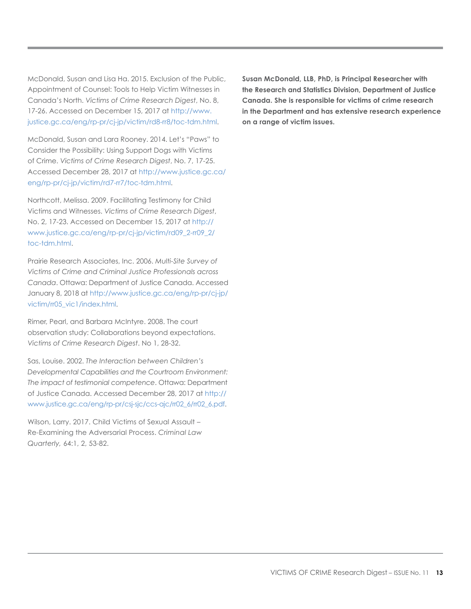McDonald, Susan and Lisa Ha. 2015. Exclusion of the Public, Appointment of Counsel: Tools to Help Victim Witnesses in Canada's North. *Victims of Crime Research Digest*, No. 8, 17-26. Accessed on December 15, 2017 at [http://www.](http://www.justice.gc.ca/eng/rp-pr/cj-jp/victim/rd8-rr8/toc-tdm.html) [justice.gc.ca/eng/rp-pr/cj-jp/victim/rd8-rr8/toc-tdm.html](http://www.justice.gc.ca/eng/rp-pr/cj-jp/victim/rd8-rr8/toc-tdm.html).

McDonald, Susan and Lara Rooney. 2014. Let's "Paws" to Consider the Possibility: Using Support Dogs with Victims of Crime. *Victims of Crime Research Digest*, No. 7, 17-25. Accessed December 28, 2017 at [http://www.justice.gc.ca/](http://www.justice.gc.ca/eng/rp-pr/cj-jp/victim/rd7-rr7/toc-tdm.html) [eng/rp-pr/cj-jp/victim/rd7-rr7/toc-tdm.html](http://www.justice.gc.ca/eng/rp-pr/cj-jp/victim/rd7-rr7/toc-tdm.html).

Northcott, Melissa. 2009. Facilitating Testimony for Child Victims and Witnesses. *Victims of Crime Research Digest*, No. 2, 17-23. Accessed on December 15, 2017 at [http://](http://www.justice.gc.ca/eng/rp-pr/cj-jp/victim/rd09_2-rr09_2/toc-tdm.html) [www.justice.gc.ca/eng/rp-pr/cj-jp/victim/rd09\\_2-rr09\\_2/](http://www.justice.gc.ca/eng/rp-pr/cj-jp/victim/rd09_2-rr09_2/toc-tdm.html) [toc-tdm.html.](http://www.justice.gc.ca/eng/rp-pr/cj-jp/victim/rd09_2-rr09_2/toc-tdm.html)

Prairie Research Associates, Inc. 2006. *Multi-Site Survey of Victims of Crime and Criminal Justice Professionals across Canada*. Ottawa: Department of Justice Canada. Accessed January 8, 2018 at [http://www.justice.gc.ca/eng/rp-pr/cj-jp/](http://www.justice.gc.ca/eng/rp-pr/cj-jp/victim/rr05_vic1/index.html) [victim/rr05\\_vic1/index.html.](http://www.justice.gc.ca/eng/rp-pr/cj-jp/victim/rr05_vic1/index.html)

Rimer, Pearl, and Barbara McIntyre. 2008. The court observation study: Collaborations beyond expectations. *Victims of Crime Research Digest*. No 1, 28-32.

Sas, Louise. 2002. *The Interaction between Children's Developmental Capabilities and the Courtroom Environment: The impact of testimonial competence*. Ottawa: Department of Justice Canada. Accessed December 28, 2017 at [http://](http://www.justice.gc.ca/eng/rp-pr/csj-sjc/ccs-ajc/rr02_6/rr02_6.pdf) [www.justice.gc.ca/eng/rp-pr/csj-sjc/ccs-ajc/rr02\\_6/rr02\\_6.pdf](http://www.justice.gc.ca/eng/rp-pr/csj-sjc/ccs-ajc/rr02_6/rr02_6.pdf).

Wilson, Larry. 2017. Child Victims of Sexual Assault – Re-Examining the Adversarial Process. *Criminal Law Quarterly,* 64:1, 2, 53-82.

**Susan McDonald, LLB, PhD, is Principal Researcher with the Research and Statistics Division, Department of Justice Canada. She is responsible for victims of crime research in the Department and has extensive research experience on a range of victim issues.**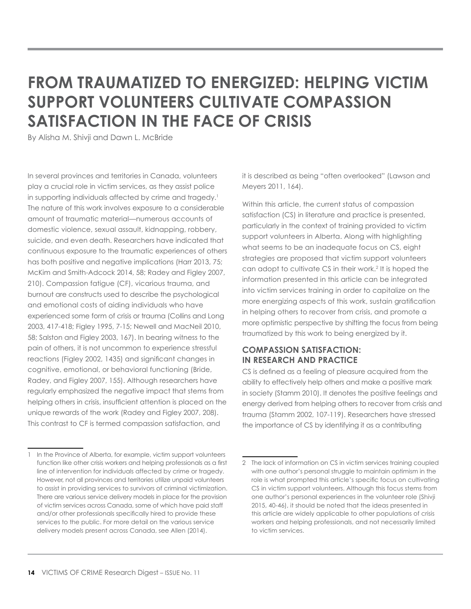# **From Traumatized to Energized: Helping Victim Support Volunteers Cultivate Compassion Satisfaction in the Face of Crisis**

By Alisha M. Shivji and Dawn L. McBride

In several provinces and territories in Canada, volunteers play a crucial role in victim services, as they assist police in supporting individuals affected by crime and tragedy.<sup>1</sup> The nature of this work involves exposure to a considerable amount of traumatic material—numerous accounts of domestic violence, sexual assault, kidnapping, robbery, suicide, and even death. Researchers have indicated that continuous exposure to the traumatic experiences of others has both positive and negative implications (Harr 2013, 75; McKim and Smith-Adcock 2014, 58; Radey and Figley 2007, 210). Compassion fatigue (CF), vicarious trauma, and burnout are constructs used to describe the psychological and emotional costs of aiding individuals who have experienced some form of crisis or trauma (Collins and Long 2003, 417-418; Figley 1995, 7-15; Newell and MacNeil 2010, 58; Salston and Figley 2003, 167). In bearing witness to the pain of others, it is not uncommon to experience stressful reactions (Figley 2002, 1435) and significant changes in cognitive, emotional, or behavioral functioning (Bride, Radey, and Figley 2007, 155). Although researchers have regularly emphasized the negative impact that stems from helping others in crisis, insufficient attention is placed on the unique rewards of the work (Radey and Figley 2007, 208). This contrast to CF is termed compassion satisfaction, and

it is described as being "often overlooked" (Lawson and Meyers 2011, 164).

Within this article, the current status of compassion satisfaction (CS) in literature and practice is presented, particularly in the context of training provided to victim support volunteers in Alberta. Along with highlighting what seems to be an inadequate focus on CS, eight strategies are proposed that victim support volunteers can adopt to cultivate CS in their work.2 It is hoped the information presented in this article can be integrated into victim services training in order to capitalize on the more energizing aspects of this work, sustain gratification in helping others to recover from crisis, and promote a more optimistic perspective by shifting the focus from being traumatized by this work to being energized by it.

# **Compassion Satisfaction: In Research and Practice**

CS is defined as a feeling of pleasure acquired from the ability to effectively help others and make a positive mark in society (Stamm 2010). It denotes the positive feelings and energy derived from helping others to recover from crisis and trauma (Stamm 2002, 107-119). Researchers have stressed the importance of CS by identifying it as a contributing

<sup>1</sup> In the Province of Alberta, for example, victim support volunteers function like other crisis workers and helping professionals as a first line of intervention for individuals affected by crime or tragedy. However, not all provinces and territories utilize unpaid volunteers to assist in providing services to survivors of criminal victimization. There are various service delivery models in place for the provision of victim services across Canada, some of which have paid staff and/or other professionals specifically hired to provide these services to the public. For more detail on the various service delivery models present across Canada, see Allen (2014).

<sup>2</sup> The lack of information on CS in victim services training coupled with one author's personal struggle to maintain optimism in the role is what prompted this article's specific focus on cultivating CS in victim support volunteers. Although this focus stems from one author's personal experiences in the volunteer role (Shivji 2015, 40-46), it should be noted that the ideas presented in this article are widely applicable to other populations of crisis workers and helping professionals, and not necessarily limited to victim services.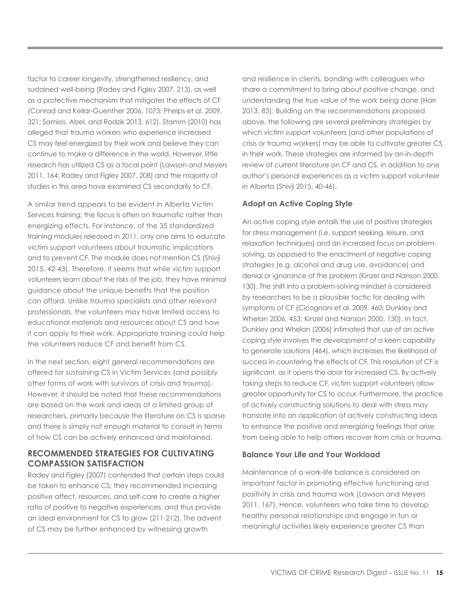factor to career longevity, strengthened resiliency, and sustained well-being (Radey and Figley 2007, 213), as well as a protective mechanism that mitigates the effects of CF (Conrad and Kellar-Guenther 2006, 1073; Phelps et al. 2009, 321; Samios, Abel, and Rodzik 2013, 612). Stamm (2010) has alleged that trauma workers who experience increased CS may feel energized by their work and believe they can continue to make a difference in the world. However, little research has utilized CS as a focal point (Lawson and Meyers 2011, 164; Radey and Figley 2007, 208) and the majority of studies in this area have examined CS secondarily to CF.

A similar trend appears to be evident in Alberta Victim Services training; the focus is often on traumatic rather than energizing effects. For instance, of the 35 standardized training modules released in 2011, only one aims to educate victim support volunteers about traumatic implications and to prevent CF. The module does not mention CS (Shivji 2015, 42-43). Therefore, it seems that while victim support volunteers learn about the risks of the job, they have minimal guidance about the unique benefits that the position can afford. Unlike trauma specialists and other relevant professionals, the volunteers may have limited access to educational materials and resources about CS and how it can apply to their work. Appropriate training could help the volunteers reduce CF and benefit from CS.

In the next section, eight general recommendations are offered for sustaining CS in Victim Services (and possibly other forms of work with survivors of crisis and trauma). However, it should be noted that these recommendations are based on the work and ideas of a limited group of researchers, primarily because the literature on CS is sparse and there is simply not enough material to consult in terms of how CS can be actively enhanced and maintained.

# **Recommended Strategies for Cultivating Compassion Satisfaction**

Radey and Figley (2007) contended that certain steps could be taken to enhance CS; they recommended increasing positive affect, resources, and self-care to create a higher ratio of positive to negative experiences, and thus provide an ideal environment for CS to grow (211-212). The advent of CS may be further enhanced by witnessing growth

and resilience in clients, bonding with colleagues who share a commitment to bring about positive change, and understanding the true value of the work being done (Harr 2013, 83). Building on the recommendations proposed above, the following are several preliminary strategies by which victim support volunteers (and other populations of crisis or trauma workers) may be able to cultivate greater CS in their work. These strategies are informed by an in-depth review of current literature on CF and CS, in addition to one author's personal experiences as a victim support volunteer in Alberta (Shivji 2015, 40-46).

# **Adopt an Active Coping Style**

An active coping style entails the use of positive strategies for stress management (i.e. support seeking, leisure, and relaxation techniques) and an increased focus on problemsolving, as opposed to the enactment of negative coping strategies (e.g. alcohol and drug use, avoidance) and denial or ignorance of the problem (Kinzel and Nanson 2000, 130). The shift into a problem-solving mindset is considered by researchers to be a plausible tactic for dealing with symptoms of CF (Cicognani et al. 2009, 460; Dunkley and Whelan 2006, 453; Kinzel and Nanson 2000, 130). In fact, Dunkley and Whelan (2006) intimated that use of an active coping style involves the development of a keen capability to generate solutions (464), which increases the likelihood of success in countering the effects of CF. This resolution of CF is significant, as it opens the door for increased CS. By actively taking steps to reduce CF, victim support volunteers allow greater opportunity for CS to occur. Furthermore, the practice of actively constructing solutions to deal with stress may translate into an application of actively constructing ideas to enhance the positive and energizing feelings that arise from being able to help others recover from crisis or trauma.

## **Balance Your Life and Your Workload**

Maintenance of a work-life balance is considered an important factor in promoting effective functioning and positivity in crisis and trauma work (Lawson and Meyers 2011, 167). Hence, volunteers who take time to develop healthy personal relationships and engage in fun or meaningful activities likely experience greater CS than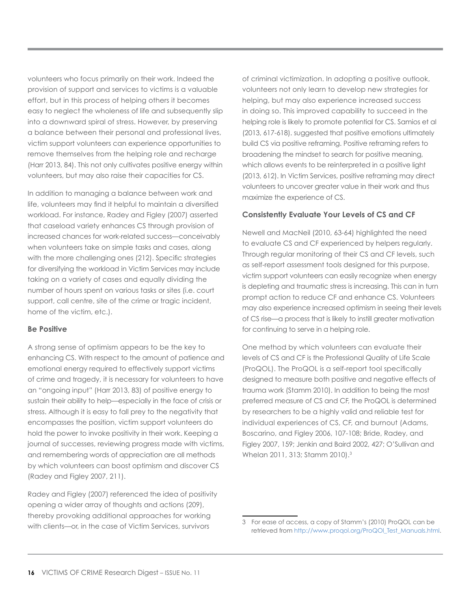volunteers who focus primarily on their work. Indeed the provision of support and services to victims is a valuable effort, but in this process of helping others it becomes easy to neglect the wholeness of life and subsequently slip into a downward spiral of stress. However, by preserving a balance between their personal and professional lives, victim support volunteers can experience opportunities to remove themselves from the helping role and recharge (Harr 2013, 84). This not only cultivates positive energy within volunteers, but may also raise their capacities for CS.

In addition to managing a balance between work and life, volunteers may find it helpful to maintain a diversified workload. For instance, Radey and Figley (2007) asserted that caseload variety enhances CS through provision of increased chances for work-related success—conceivably when volunteers take on simple tasks and cases, along with the more challenging ones (212). Specific strategies for diversifying the workload in Victim Services may include taking on a variety of cases and equally dividing the number of hours spent on various tasks or sites (i.e. court support, call centre, site of the crime or tragic incident, home of the victim, etc.).

## **Be Positive**

A strong sense of optimism appears to be the key to enhancing CS. With respect to the amount of patience and emotional energy required to effectively support victims of crime and tragedy, it is necessary for volunteers to have an "ongoing input" (Harr 2013, 83) of positive energy to sustain their ability to help—especially in the face of crisis or stress. Although it is easy to fall prey to the negativity that encompasses the position, victim support volunteers do hold the power to invoke positivity in their work. Keeping a journal of successes, reviewing progress made with victims, and remembering words of appreciation are all methods by which volunteers can boost optimism and discover CS (Radey and Figley 2007, 211).

Radey and Figley (2007) referenced the idea of positivity opening a wider array of thoughts and actions (209), thereby provoking additional approaches for working with clients—or, in the case of Victim Services, survivors

of criminal victimization. In adopting a positive outlook, volunteers not only learn to develop new strategies for helping, but may also experience increased success in doing so. This improved capability to succeed in the helping role is likely to promote potential for CS. Samios et al (2013, 617-618). suggested that positive emotions ultimately build CS via positive reframing. Positive reframing refers to broadening the mindset to search for positive meaning, which allows events to be reinterpreted in a positive light (2013, 612). In Victim Services, positive reframing may direct volunteers to uncover greater value in their work and thus maximize the experience of CS.

## **Consistently Evaluate Your Levels of CS and CF**

Newell and MacNeil (2010, 63-64) highlighted the need to evaluate CS and CF experienced by helpers regularly. Through regular monitoring of their CS and CF levels, such as self-report assessment tools designed for this purpose, victim support volunteers can easily recognize when energy is depleting and traumatic stress is increasing. This can in turn prompt action to reduce CF and enhance CS. Volunteers may also experience increased optimism in seeing their levels of CS rise—a process that is likely to instill greater motivation for continuing to serve in a helping role.

One method by which volunteers can evaluate their levels of CS and CF is the Professional Quality of Life Scale (ProQOL). The ProQOL is a self-report tool specifically designed to measure both positive and negative effects of trauma work (Stamm 2010). In addition to being the most preferred measure of CS and CF, the ProQOL is determined by researchers to be a highly valid and reliable test for individual experiences of CS, CF, and burnout (Adams, Boscarino, and Figley 2006, 107-108; Bride, Radey, and Figley 2007, 159; Jenkin and Baird 2002, 427; O'Sullivan and Whelan 2011, 313; Stamm 2010).3

<sup>3</sup> For ease of access, a copy of Stamm's (2010) ProQOL can be retrieved from [http://www.proqol.org/ProQOl\\_Test\\_Manuals.html.](http://www.proqol.org/ProQOl_Test_Manuals.html)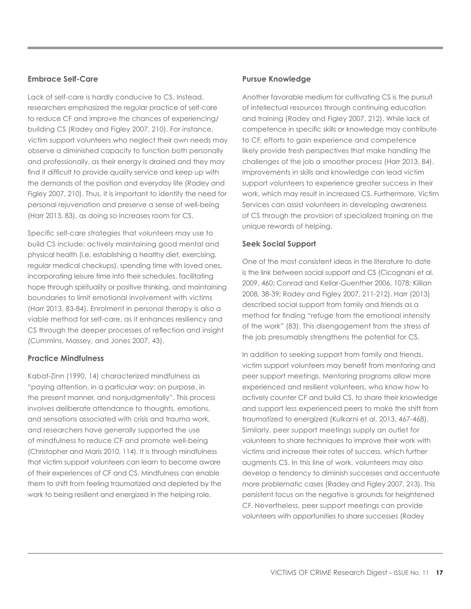## **Embrace Self-Care**

Lack of self-care is hardly conducive to CS. Instead, researchers emphasized the regular practice of self-care to reduce CF and improve the chances of experiencing/ building CS (Radey and Figley 2007, 210). For instance, victim support volunteers who neglect their own needs may observe a diminished capacity to function both personally and professionally, as their energy is drained and they may find it difficult to provide quality service and keep up with the demands of the position and everyday life (Radey and Figley 2007, 210). Thus, it is important to identify the need for personal rejuvenation and preserve a sense of well-being (Harr 2013, 83), as doing so increases room for CS.

Specific self-care strategies that volunteers may use to build CS include: actively maintaining good mental and physical health (i.e. establishing a healthy diet, exercising, regular medical checkups), spending time with loved ones, incorporating leisure time into their schedules, facilitating hope through spirituality or positive thinking, and maintaining boundaries to limit emotional involvement with victims (Harr 2013, 83-84). Enrolment in personal therapy is also a viable method for self-care, as it enhances resiliency and CS through the deeper processes of reflection and insight (Cummins, Massey, and Jones 2007, 43).

#### **Practice Mindfulness**

Kabat-Zinn (1990, 14) characterized mindfulness as "paying attention, in a particular way: on purpose, in the present manner, and nonjudgmentally". This process involves deliberate attendance to thoughts, emotions, and sensations associated with crisis and trauma work, and researchers have generally supported the use of mindfulness to reduce CF and promote well-being (Christopher and Maris 2010, 114). It is through mindfulness that victim support volunteers can learn to become aware of their experiences of CF and CS. Mindfulness can enable them to shift from feeling traumatized and depleted by the work to being resilient and energized in the helping role.

## **Pursue Knowledge**

Another favorable medium for cultivating CS is the pursuit of intellectual resources through continuing education and training (Radey and Figley 2007, 212). While lack of competence in specific skills or knowledge may contribute to CF, efforts to gain experience and competence likely provide fresh perspectives that make handling the challenges of the job a smoother process (Harr 2013, 84). Improvements in skills and knowledge can lead victim support volunteers to experience greater success in their work, which may result in increased CS. Furthermore, Victim Services can assist volunteers in developing awareness of CS through the provision of specialized training on the unique rewards of helping.

#### **Seek Social Support**

One of the most consistent ideas in the literature to date is the link between social support and CS (Cicognani et al. 2009, 460; Conrad and Kellar-Guenther 2006, 1078; Killian 2008, 38-39; Radey and Figley 2007, 211-212). Harr (2013) described social support from family and friends as a method for finding "refuge from the emotional intensity of the work" (83). This disengagement from the stress of the job presumably strengthens the potential for CS.

In addition to seeking support from family and friends, victim support volunteers may benefit from mentoring and peer support meetings. Mentoring programs allow more experienced and resilient volunteers, who know how to actively counter CF and build CS, to share their knowledge and support less experienced peers to make the shift from traumatized to energized (Kulkarni et al. 2013, 467-468). Similarly, peer support meetings supply an outlet for volunteers to share techniques to improve their work with victims and increase their rates of success, which further augments CS. In this line of work, volunteers may also develop a tendency to diminish successes and accentuate more problematic cases (Radey and Figley 2007, 213). This persistent focus on the negative is grounds for heightened CF. Nevertheless, peer support meetings can provide volunteers with opportunities to share successes (Radey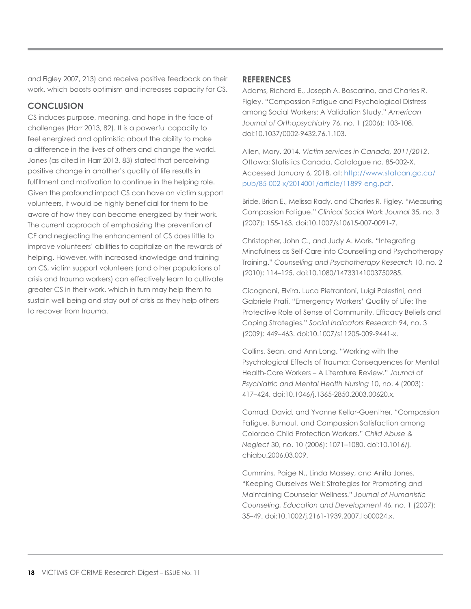and Figley 2007, 213) and receive positive feedback on their work, which boosts optimism and increases capacity for CS.

# **Conclusion**

CS induces purpose, meaning, and hope in the face of challenges (Harr 2013, 82). It is a powerful capacity to feel energized and optimistic about the ability to make a difference in the lives of others and change the world. Jones (as cited in Harr 2013, 83) stated that perceiving positive change in another's quality of life results in fulfillment and motivation to continue in the helping role. Given the profound impact CS can have on victim support volunteers, it would be highly beneficial for them to be aware of how they can become energized by their work. The current approach of emphasizing the prevention of CF and neglecting the enhancement of CS does little to improve volunteers' abilities to capitalize on the rewards of helping. However, with increased knowledge and training on CS, victim support volunteers (and other populations of crisis and trauma workers) can effectively learn to cultivate greater CS in their work, which in turn may help them to sustain well-being and stay out of crisis as they help others to recover from trauma.

# **References**

Adams, Richard E., Joseph A. Boscarino, and Charles R. Figley. "Compassion Fatigue and Psychological Distress among Social Workers: A Validation Study." *American Journal of Orthopsychiatry* 76, no. 1 (2006): 103-108. doi:10.1037/0002-9432.76.1.103.

Allen, Mary. 2014. *Victim services in Canada, 2011/2012*. Ottawa: Statistics Canada. Catalogue no. 85-002-X. Accessed January 6, 2018, at: [http://www.statcan.gc.ca/](http://www.statcan.gc.ca/pub/85-002-x/2014001/article/11899-eng.pdf) [pub/85-002-x/2014001/article/11899-eng.pdf.](http://www.statcan.gc.ca/pub/85-002-x/2014001/article/11899-eng.pdf)

Bride, Brian E., Melissa Rady, and Charles R. Figley. "Measuring Compassion Fatigue." *Clinical Social Work Journal* 35, no. 3 (2007): 155-163. doi:10.1007/s10615-007-0091-7.

Christopher, John C., and Judy A. Maris. "Integrating Mindfulness as Self-Care into Counselling and Psychotherapy Training." *Counselling and Psychotherapy Research* 10, no. 2 (2010): 114–125. doi:10.1080/14733141003750285.

Cicognani, Elvira, Luca Pietrantoni, Luigi Palestini, and Gabriele Prati. "Emergency Workers' Quality of Life: The Protective Role of Sense of Community, Efficacy Beliefs and Coping Strategies." *Social Indicators Research* 94, no. 3 (2009): 449–463. doi:10.1007/s11205-009-9441-x.

Collins, Sean, and Ann Long. "Working with the Psychological Effects of Trauma: Consequences for Mental Health-Care Workers – A Literature Review." *Journal of Psychiatric and Mental Health Nursing* 10, no. 4 (2003): 417–424. doi:10.1046/j.1365-2850.2003.00620.x.

Conrad, David, and Yvonne Kellar-Guenther. "Compassion Fatigue, Burnout, and Compassion Satisfaction among Colorado Child Protection Workers." *Child Abuse & Neglect* 30, no. 10 (2006): 1071–1080. doi:10.1016/j. chiabu.2006.03.009.

Cummins, Paige N., Linda Massey, and Anita Jones. "Keeping Ourselves Well: Strategies for Promoting and Maintaining Counselor Wellness." *Journal of Humanistic Counseling, Education and Development* 46, no. 1 (2007): 35–49. doi:10.1002/j.2161-1939.2007.tb00024.x.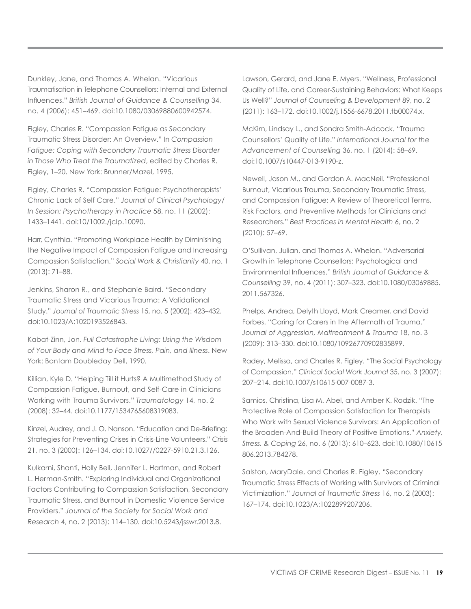Dunkley, Jane, and Thomas A. Whelan. "Vicarious Traumatisation in Telephone Counsellors: Internal and External Influences." *British Journal of Guidance & Counselling* 34, no. 4 (2006): 451–469. doi:10.1080/03069880600942574.

Figley, Charles R. "Compassion Fatigue as Secondary Traumatic Stress Disorder: An Overview." In *Compassion Fatigue: Coping with Secondary Traumatic Stress Disorder in Those Who Treat the Traumatized*, edited by Charles R. Figley, 1–20. New York: Brunner/Mazel, 1995.

Figley, Charles R. "Compassion Fatigue: Psychotherapists' Chronic Lack of Self Care." *Journal of Clinical Psychology/ In Session: Psychotherapy in Practice* 58, no. 11 (2002): 1433–1441. doi:10/1002./jclp.10090.

Harr, Cynthia. "Promoting Workplace Health by Diminishing the Negative Impact of Compassion Fatigue and Increasing Compassion Satisfaction." *Social Work & Christianity* 40, no. 1 (2013): 71–88.

Jenkins, Sharon R., and Stephanie Baird. "Secondary Traumatic Stress and Vicarious Trauma: A Validational Study." *Journal of Traumatic Stress* 15, no. 5 (2002): 423–432. doi:10.1023/A:1020193526843.

Kabat-Zinn, Jon. *Full Catastrophe Living: Using the Wisdom of Your Body and Mind to Face Stress, Pain, and Illness*. New York: Bantam Doubleday Dell, 1990.

Killian, Kyle D. "Helping Till it Hurts? A Multimethod Study of Compassion Fatigue, Burnout, and Self-Care in Clinicians Working with Trauma Survivors." *Traumatology* 14, no. 2 (2008): 32–44. doi:10.1177/1534765608319083.

Kinzel, Audrey, and J. O. Nanson. "Education and De-Briefing: Strategies for Preventing Crises in Crisis-Line Volunteers." *Crisis* 21, no. 3 (2000): 126–134. doi:10.1027//0227-5910.21.3.126.

Kulkarni, Shanti, Holly Bell, Jennifer L. Hartman, and Robert L. Herman-Smith. "Exploring Individual and Organizational Factors Contributing to Compassion Satisfaction, Secondary Traumatic Stress, and Burnout in Domestic Violence Service Providers." *Journal of the Society for Social Work and Research* 4, no. 2 (2013): 114–130. doi:10.5243/jsswr.2013.8.

Lawson, Gerard, and Jane E. Myers. "Wellness, Professional Quality of Life, and Career-Sustaining Behaviors: What Keeps Us Well?" *Journal of Counseling & Development* 89, no. 2 (2011): 163–172. doi:10.1002/j.1556-6678.2011.tb00074.x.

McKim, Lindsay L., and Sondra Smith-Adcock. "Trauma Counsellors' Quality of Life." *International Journal for the Advancement of Counselling* 36, no. 1 (2014): 58–69. doi:10.1007/s10447-013-9190-z.

Newell, Jason M., and Gordon A. MacNeil. "Professional Burnout, Vicarious Trauma, Secondary Traumatic Stress, and Compassion Fatigue: A Review of Theoretical Terms, Risk Factors, and Preventive Methods for Clinicians and Researchers." *Best Practices in Mental Health* 6, no. 2 (2010): 57–69.

O'Sullivan, Julian, and Thomas A. Whelan. "Adversarial Growth in Telephone Counsellors: Psychological and Environmental Influences." *British Journal of Guidance & Counselling* 39, no. 4 (2011): 307–323. doi:10.1080/03069885. 2011.567326.

Phelps, Andrea, Delyth Lloyd, Mark Creamer, and David Forbes. "Caring for Carers in the Aftermath of Trauma." *Journal of Aggression, Maltreatment & Trauma* 18, no. 3 (2009): 313–330. doi:10.1080/10926770902835899.

Radey, Melissa, and Charles R. Figley. "The Social Psychology of Compassion." *Clinical Social Work Journal* 35, no. 3 (2007): 207–214. doi:10.1007/s10615-007-0087-3.

Samios, Christina, Lisa M. Abel, and Amber K. Rodzik. "The Protective Role of Compassion Satisfaction for Therapists Who Work with Sexual Violence Survivors: An Application of the Broaden-And-Build Theory of Positive Emotions." *Anxiety, Stress, & Coping* 26, no. 6 (2013): 610–623. doi:10.1080/10615 806.2013.784278.

Salston, MaryDale, and Charles R. Figley. "Secondary Traumatic Stress Effects of Working with Survivors of Criminal Victimization." *Journal of Traumatic Stress* 16, no. 2 (2003): 167–174. doi:10.1023/A:1022899207206.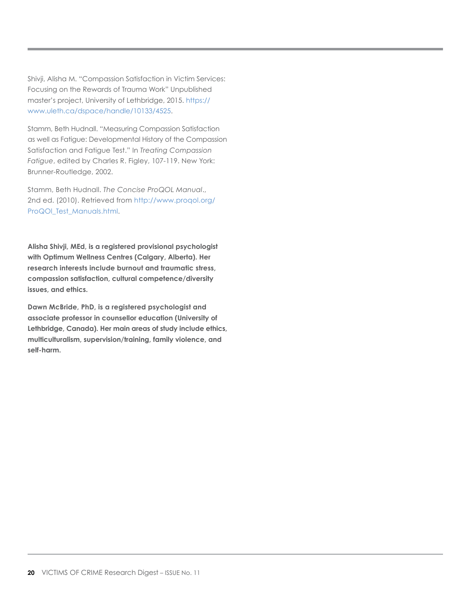Shivji, Alisha M. "Compassion Satisfaction in Victim Services: Focusing on the Rewards of Trauma Work" Unpublished master's project, University of Lethbridge, 2015. [https://](https://www.uleth.ca/dspace/handle/10133/4525) [www.uleth.ca/dspace/handle/10133/4525](https://www.uleth.ca/dspace/handle/10133/4525).

Stamm, Beth Hudnall. "Measuring Compassion Satisfaction as well as Fatigue: Developmental History of the Compassion Satisfaction and Fatigue Test." In *Treating Compassion Fatigue*, edited by Charles R. Figley, 107-119. New York: Brunner-Routledge, 2002.

Stamm, Beth Hudnall. *The Concise ProQOL Manual*., 2nd ed. (2010). Retrieved from [http://www.proqol.org/](http://www.proqol.org/ProQOl_Test_Manuals.html) [ProQOl\\_Test\\_Manuals.html](http://www.proqol.org/ProQOl_Test_Manuals.html).

**Alisha Shivji, MEd, is a registered provisional psychologist with Optimum Wellness Centres (Calgary, Alberta). Her research interests include burnout and traumatic stress, compassion satisfaction, cultural competence/diversity issues, and ethics.**

**Dawn McBride, PhD, is a registered psychologist and associate professor in counsellor education (University of Lethbridge, Canada). Her main areas of study include ethics, multiculturalism, supervision/training, family violence, and self-harm.**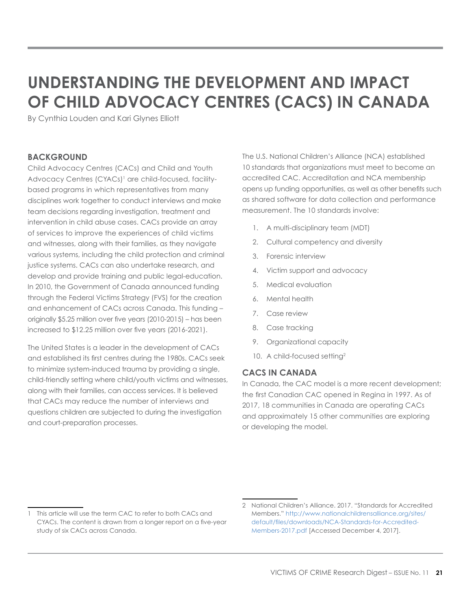# **Understanding the Development and Impact of Child Advocacy Centres (CACs) in Canada**

By Cynthia Louden and Kari Glynes Elliott

# **Background**

Child Advocacy Centres (CACs) and Child and Youth Advocacy Centres (CYACs)<sup>1</sup> are child-focused, facilitybased programs in which representatives from many disciplines work together to conduct interviews and make team decisions regarding investigation, treatment and intervention in child abuse cases. CACs provide an array of services to improve the experiences of child victims and witnesses, along with their families, as they navigate various systems, including the child protection and criminal justice systems. CACs can also undertake research, and develop and provide training and public legal-education. In 2010, the Government of Canada announced funding through the Federal Victims Strategy (FVS) for the creation and enhancement of CACs across Canada. This funding – originally \$5.25 million over five years (2010-2015) – has been increased to \$12.25 million over five years (2016-2021).

The United States is a leader in the development of CACs and established its first centres during the 1980s. CACs seek to minimize system-induced trauma by providing a single, child-friendly setting where child/youth victims and witnesses, along with their families, can access services. It is believed that CACs may reduce the number of interviews and questions children are subjected to during the investigation and court-preparation processes.

The U.S. National Children's Alliance (NCA) established 10 standards that organizations must meet to become an accredited CAC. Accreditation and NCA membership opens up funding opportunities, as well as other benefits such as shared software for data collection and performance measurement. The 10 standards involve:

- 1. A multi-disciplinary team (MDT)
- 2. Cultural competency and diversity
- 3. Forensic interview
- 4. Victim support and advocacy
- 5. Medical evaluation
- 6. Mental health
- 7. Case review
- 8. Case tracking
- 9. Organizational capacity
- 10. A child-focused setting<sup>2</sup>

# **CACs in Canada**

In Canada, the CAC model is a more recent development; the first Canadian CAC opened in Regina in 1997. As of 2017, 18 communities in Canada are operating CACs and approximately 15 other communities are exploring or developing the model.

<sup>1</sup> This article will use the term CAC to refer to both CACs and CYACs. The content is drawn from a longer report on a five-year study of six CACs across Canada.

<sup>2</sup> National Children's Alliance. 2017. "Standards for Accredited Members." [http://www.nationalchildrensalliance.org/sites/](http://www.nationalchildrensalliance.org/sites/default/files/downloads/NCA-Standards-for-Accredited-Members-2017.pdf) [default/files/downloads/NCA-Standards-for-Accredited-](http://www.nationalchildrensalliance.org/sites/default/files/downloads/NCA-Standards-for-Accredited-Members-2017.pdf)[Members-2017.pdf](http://www.nationalchildrensalliance.org/sites/default/files/downloads/NCA-Standards-for-Accredited-Members-2017.pdf) [Accessed December 4, 2017].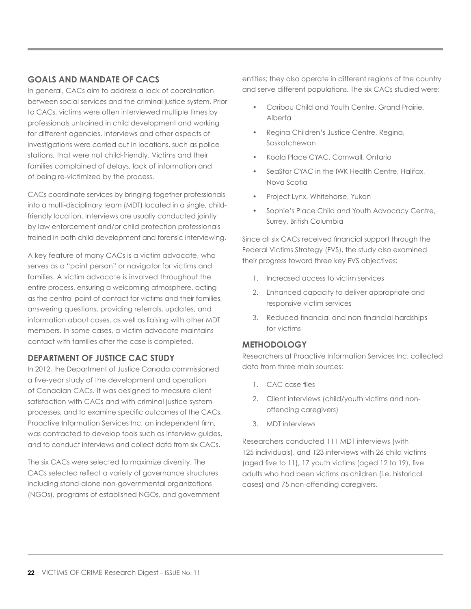# **Goals and Mandate of CACs**

In general, CACs aim to address a lack of coordination between social services and the criminal justice system. Prior to CACs, victims were often interviewed multiple times by professionals untrained in child development and working for different agencies. Interviews and other aspects of investigations were carried out in locations, such as police stations, that were not child-friendly. Victims and their families complained of delays, lack of information and of being re-victimized by the process.

CACs coordinate services by bringing together professionals into a multi-disciplinary team (MDT) located in a single, childfriendly location. Interviews are usually conducted jointly by law enforcement and/or child protection professionals trained in both child development and forensic interviewing.

A key feature of many CACs is a victim advocate, who serves as a "point person" or navigator for victims and families. A victim advocate is involved throughout the entire process, ensuring a welcoming atmosphere, acting as the central point of contact for victims and their families, answering questions, providing referrals, updates, and information about cases, as well as liaising with other MDT members. In some cases, a victim advocate maintains contact with families after the case is completed.

# **Department of Justice CAC Study**

In 2012, the Department of Justice Canada commissioned a five-year study of the development and operation of Canadian CACs. It was designed to measure client satisfaction with CACs and with criminal justice system processes, and to examine specific outcomes of the CACs. Proactive Information Services Inc, an independent firm, was contracted to develop tools such as interview guides, and to conduct interviews and collect data from six CACs.

The six CACs were selected to maximize diversity. The CACs selected reflect a variety of governance structures including stand-alone non-governmental organizations (NGOs), programs of established NGOs, and government entities; they also operate in different regions of the country and serve different populations. The six CACs studied were:

- Caribou Child and Youth Centre, Grand Prairie, Alberta
- Regina Children's Justice Centre, Regina, Saskatchewan
- Koala Place CYAC, Cornwall, Ontario
- SeaStar CYAC in the IWK Health Centre, Halifax, Nova Scotia
- Project Lynx, Whitehorse, Yukon
- Sophie's Place Child and Youth Advocacy Centre, Surrey, British Columbia

Since all six CACs received financial support through the Federal Victims Strategy (FVS), the study also examined their progress toward three key FVS objectives:

- 1. Increased access to victim services
- 2. Enhanced capacity to deliver appropriate and responsive victim services
- 3. Reduced financial and non-financial hardships for victims

# **Methodology**

Researchers at Proactive Information Services Inc. collected data from three main sources:

- 1. CAC case files
- 2. Client interviews (child/youth victims and nonoffending caregivers)
- 3. MDT interviews

Researchers conducted 111 MDT interviews (with 125 individuals), and 123 interviews with 26 child victims (aged five to 11), 17 youth victims (aged 12 to 19), five adults who had been victims as children (i.e. historical cases) and 75 non-offending caregivers.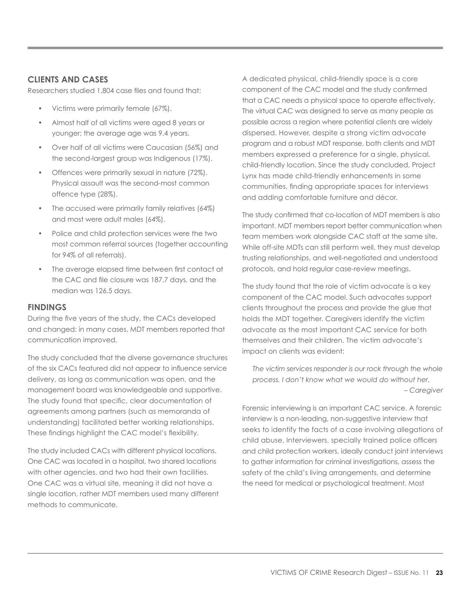# **Clients and Cases**

Researchers studied 1,804 case files and found that:

- Victims were primarily female (67%).
- Almost half of all victims were aged 8 years or younger; the average age was 9.4 years.
- Over half of all victims were Caucasian (56%) and the second-largest group was Indigenous (17%).
- Offences were primarily sexual in nature (72%). Physical assault was the second-most common offence type (28%).
- The accused were primarily family relatives (64%) and most were adult males (64%).
- Police and child protection services were the two most common referral sources (together accounting for 94% of all referrals).
- The average elapsed time between first contact at the CAC and file closure was 187.7 days, and the median was 126.5 days.

# **Findings**

During the five years of the study, the CACs developed and changed; in many cases, MDT members reported that communication improved.

The study concluded that the diverse governance structures of the six CACs featured did not appear to influence service delivery, as long as communication was open, and the management board was knowledgeable and supportive. The study found that specific, clear documentation of agreements among partners (such as memoranda of understanding) facilitated better working relationships. These findings highlight the CAC model's flexibility.

The study included CACs with different physical locations. One CAC was located in a hospital, two shared locations with other agencies, and two had their own facilities. One CAC was a virtual site, meaning it did not have a single location, rather MDT members used many different methods to communicate.

A dedicated physical, child-friendly space is a core component of the CAC model and the study confirmed that a CAC needs a physical space to operate effectively. The virtual CAC was designed to serve as many people as possible across a region where potential clients are widely dispersed. However, despite a strong victim advocate program and a robust MDT response, both clients and MDT members expressed a preference for a single, physical, child-friendly location. Since the study concluded, Project Lynx has made child-friendly enhancements in some communities, finding appropriate spaces for interviews and adding comfortable furniture and décor.

The study confirmed that co-location of MDT members is also important. MDT members report better communication when team members work alongside CAC staff at the same site. While off-site MDTs can still perform well, they must develop trusting relationships, and well-negotiated and understood protocols, and hold regular case-review meetings.

The study found that the role of victim advocate is a key component of the CAC model. Such advocates support clients throughout the process and provide the glue that holds the MDT together. Caregivers identify the victim advocate as the most important CAC service for both themselves and their children. The victim advocate's impact on clients was evident:

*The victim services responder is our rock through the whole process. I don't know what we would do without her. – Caregiver*

Forensic interviewing is an important CAC service. A forensic interview is a non-leading, non-suggestive interview that seeks to identify the facts of a case involving allegations of child abuse. Interviewers, specially trained police officers and child protection workers, ideally conduct joint interviews to gather information for criminal investigations, assess the safety of the child's living arrangements, and determine the need for medical or psychological treatment. Most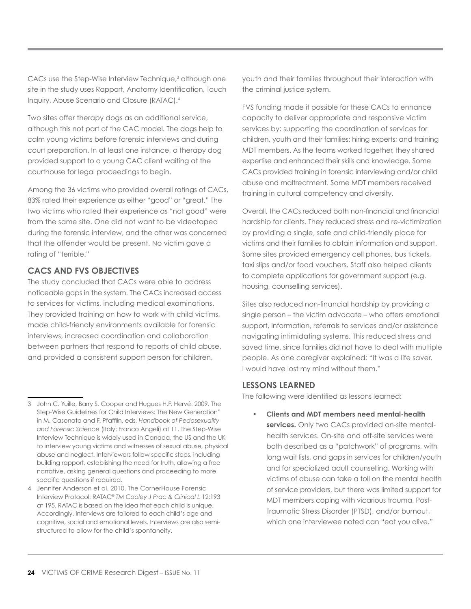CACs use the Step-Wise Interview Technique,<sup>3</sup> although one site in the study uses Rapport, Anatomy Identification, Touch Inquiry, Abuse Scenario and Closure (RATAC).4

Two sites offer therapy dogs as an additional service, although this not part of the CAC model. The dogs help to calm young victims before forensic interviews and during court preparation. In at least one instance, a therapy dog provided support to a young CAC client waiting at the courthouse for legal proceedings to begin.

Among the 36 victims who provided overall ratings of CACs, 83% rated their experience as either "good" or "great." The two victims who rated their experience as "not good" were from the same site. One did not want to be videotaped during the forensic interview, and the other was concerned that the offender would be present. No victim gave a rating of "terrible."

# **CACs and FVS Objectives**

The study concluded that CACs were able to address noticeable gaps in the system. The CACs increased access to services for victims, including medical examinations. They provided training on how to work with child victims, made child-friendly environments available for forensic interviews, increased coordination and collaboration between partners that respond to reports of child abuse, and provided a consistent support person for children,

youth and their families throughout their interaction with the criminal justice system.

FVS funding made it possible for these CACs to enhance capacity to deliver appropriate and responsive victim services by: supporting the coordination of services for children, youth and their families; hiring experts; and training MDT members. As the teams worked together, they shared expertise and enhanced their skills and knowledge. Some CACs provided training in forensic interviewing and/or child abuse and maltreatment. Some MDT members received training in cultural competency and diversity.

Overall, the CACs reduced both non-financial and financial hardship for clients. They reduced stress and re-victimization by providing a single, safe and child-friendly place for victims and their families to obtain information and support. Some sites provided emergency cell phones, bus tickets, taxi slips and/or food vouchers. Staff also helped clients to complete applications for government support (e.g. housing, counselling services).

Sites also reduced non-financial hardship by providing a single person – the victim advocate – who offers emotional support, information, referrals to services and/or assistance navigating intimidating systems. This reduced stress and saved time, since families did not have to deal with multiple people. As one caregiver explained: "It was a life saver. I would have lost my mind without them."

# **Lessons Learned**

The following were identified as lessons learned:

• **Clients and MDT members need mental-health services.** Only two CACs provided on-site mentalhealth services. On-site and off-site services were both described as a "patchwork" of programs, with long wait lists, and gaps in services for children/youth and for specialized adult counselling. Working with victims of abuse can take a toll on the mental health of service providers, but there was limited support for MDT members coping with vicarious trauma, Post-Traumatic Stress Disorder (PTSD), and/or burnout, which one interviewee noted can "eat you alive."

<sup>3</sup> John C. Yuille, Barry S. Cooper and Hugues H.F. Hervé. 2009. The Step-Wise Guidelines for Child Interviews: The New Generation" in M. Casonato and F. Pfafflin, eds, *Handbook of Pedosexuality and Forensic Science* (Italy: Franco Angeli) at 11. The Step-Wise Interview Technique is widely used in Canada, the US and the UK to interview young victims and witnesses of sexual abuse, physical abuse and neglect. Interviewers follow specific steps, including building rapport, establishing the need for truth, allowing a free narrative, asking general questions and proceeding to more specific questions if required.

<sup>4</sup> Jennifer Anderson et al. 2010. The CornerHouse Forensic Interview Protocol: RATAC® *TM Cooley J Prac & Clinical L* 12:193 at 195. RATAC is based on the idea that each child is unique. Accordingly, interviews are tailored to each child's age and cognitive, social and emotional levels. Interviews are also semistructured to allow for the child's spontaneity.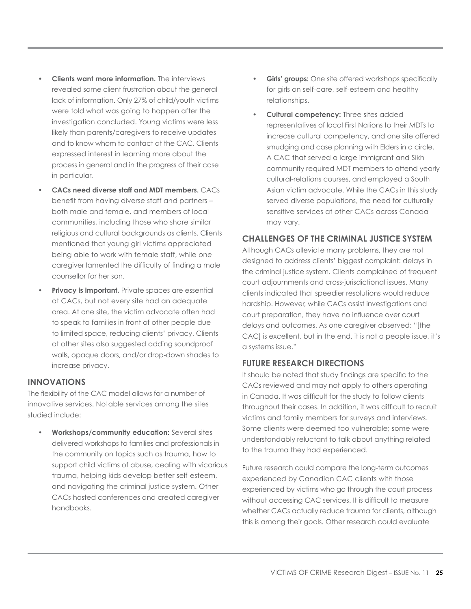- **Clients want more information.** The interviews revealed some client frustration about the general lack of information. Only 27% of child/youth victims were told what was going to happen after the investigation concluded. Young victims were less likely than parents/caregivers to receive updates and to know whom to contact at the CAC. Clients expressed interest in learning more about the process in general and in the progress of their case in particular.
- **CACs need diverse staff and MDT members.** CACs benefit from having diverse staff and partners – both male and female, and members of local communities, including those who share similar religious and cultural backgrounds as clients. Clients mentioned that young girl victims appreciated being able to work with female staff, while one caregiver lamented the difficulty of finding a male counsellor for her son.
- **Privacy is important.** Private spaces are essential at CACs, but not every site had an adequate area. At one site, the victim advocate often had to speak to families in front of other people due to limited space, reducing clients' privacy. Clients at other sites also suggested adding soundproof walls, opaque doors, and/or drop-down shades to increase privacy.

# **Innovations**

The flexibility of the CAC model allows for a number of innovative services. Notable services among the sites studied include:

• **Workshops/community education:** Several sites delivered workshops to families and professionals in the community on topics such as trauma, how to support child victims of abuse, dealing with vicarious trauma, helping kids develop better self-esteem, and navigating the criminal justice system. Other CACs hosted conferences and created caregiver handbooks.

- **Girls' groups:** One site offered workshops specifically for girls on self-care, self-esteem and healthy relationships.
- **Cultural competency:** Three sites added representatives of local First Nations to their MDTs to increase cultural competency, and one site offered smudging and case planning with Elders in a circle. A CAC that served a large immigrant and Sikh community required MDT members to attend yearly cultural-relations courses, and employed a South Asian victim advocate. While the CACs in this study served diverse populations, the need for culturally sensitive services at other CACs across Canada may vary.

# **Challenges of the Criminal Justice System**

Although CACs alleviate many problems, they are not designed to address clients' biggest complaint: delays in the criminal justice system. Clients complained of frequent court adjournments and cross-jurisdictional issues. Many clients indicated that speedier resolutions would reduce hardship. However, while CACs assist investigations and court preparation, they have no influence over court delays and outcomes. As one caregiver observed: "[the CAC] is excellent, but in the end, it is not a people issue, it's a systems issue."

# **Future Research Directions**

It should be noted that study findings are specific to the CACs reviewed and may not apply to others operating in Canada. It was difficult for the study to follow clients throughout their cases. In addition, it was difficult to recruit victims and family members for surveys and interviews. Some clients were deemed too vulnerable; some were understandably reluctant to talk about anything related to the trauma they had experienced.

Future research could compare the long-term outcomes experienced by Canadian CAC clients with those experienced by victims who go through the court process without accessing CAC services. It is difficult to measure whether CACs actually reduce trauma for clients, although this is among their goals. Other research could evaluate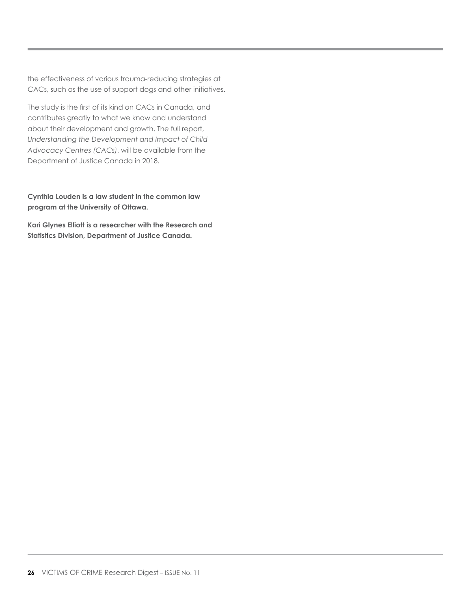the effectiveness of various trauma-reducing strategies at CACs, such as the use of support dogs and other initiatives.

The study is the first of its kind on CACs in Canada, and contributes greatly to what we know and understand about their development and growth. The full report, *Understanding the Development and Impact of Child Advocacy Centres (CACs)*, will be available from the Department of Justice Canada in 2018.

**Cynthia Louden is a law student in the common law program at the University of Ottawa.** 

**Kari Glynes Elliott is a researcher with the Research and Statistics Division, Department of Justice Canada.**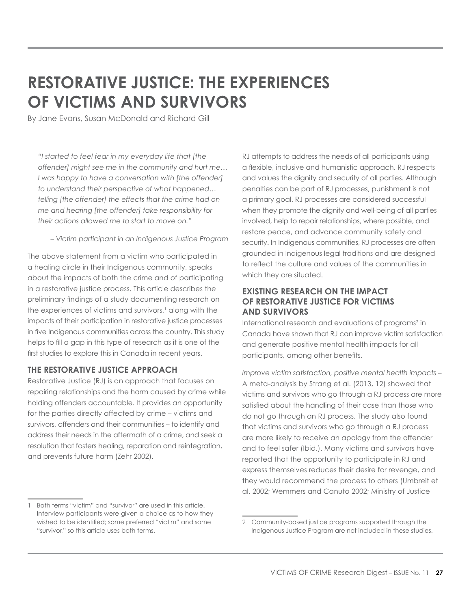# **Restorative Justice: The Experiences of Victims and Survivors**

By Jane Evans, Susan McDonald and Richard Gill

*"I started to feel fear in my everyday life that [the offender] might see me in the community and hurt me… I was happy to have a conversation with [the offender] to understand their perspective of what happened… telling [the offender] the effects that the crime had on me and hearing [the offender] take responsibility for their actions allowed me to start to move on."*

*– Victim participant in an Indigenous Justice Program*

The above statement from a victim who participated in a healing circle in their Indigenous community, speaks about the impacts of both the crime and of participating in a restorative justice process. This article describes the preliminary findings of a study documenting research on the experiences of victims and survivors,<sup>1</sup> along with the impacts of their participation in restorative justice processes in five Indigenous communities across the country. This study helps to fill a gap in this type of research as it is one of the first studies to explore this in Canada in recent years.

# **The Restorative Justice Approach**

Restorative Justice (RJ) is an approach that focuses on repairing relationships and the harm caused by crime while holding offenders accountable. It provides an opportunity for the parties directly affected by crime – victims and survivors, offenders and their communities – to identify and address their needs in the aftermath of a crime, and seek a resolution that fosters healing, reparation and reintegration, and prevents future harm (Zehr 2002).

RJ attempts to address the needs of all participants using a flexible, inclusive and humanistic approach. RJ respects and values the dignity and security of all parties. Although penalties can be part of RJ processes, punishment is not a primary goal. RJ processes are considered successful when they promote the dignity and well-being of all parties involved, help to repair relationships, where possible, and restore peace, and advance community safety and security. In Indigenous communities, RJ processes are often grounded in Indigenous legal traditions and are designed to reflect the culture and values of the communities in which they are situated.

# **Existing Research on the Impact of Restorative Justice for Victims and Survivors**

International research and evaluations of programs<sup>2</sup> in Canada have shown that RJ can improve victim satisfaction and generate positive mental health impacts for all participants, among other benefits.

*Improve victim satisfaction, positive mental health impacts* – A meta-analysis by Strang et al. (2013, 12) showed that victims and survivors who go through a RJ process are more satisfied about the handling of their case than those who do not go through an RJ process. The study also found that victims and survivors who go through a RJ process are more likely to receive an apology from the offender and to feel safer (Ibid.). Many victims and survivors have reported that the opportunity to participate in RJ and express themselves reduces their desire for revenge, and they would recommend the process to others (Umbreit et al. 2002; Wemmers and Canuto 2002; Ministry of Justice

<sup>1</sup> Both terms "victim" and "survivor" are used in this article. Interview participants were given a choice as to how they wished to be identified; some preferred "victim" and some "survivor," so this article uses both terms.

<sup>2</sup> Community-based justice programs supported through the Indigenous Justice Program are not included in these studies.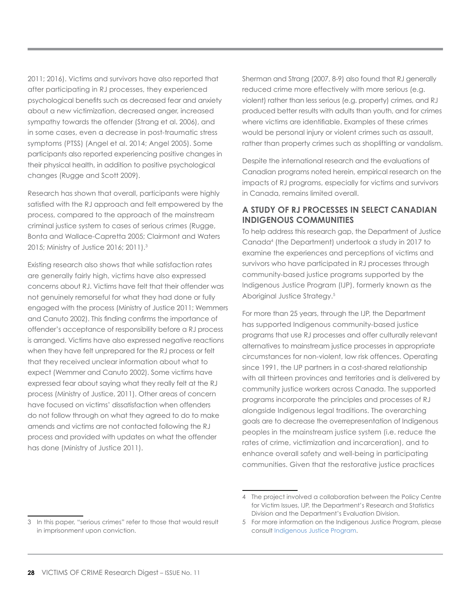2011; 2016). Victims and survivors have also reported that after participating in RJ processes, they experienced psychological benefits such as decreased fear and anxiety about a new victimization, decreased anger, increased sympathy towards the offender (Strang et al. 2006), and in some cases, even a decrease in post-traumatic stress symptoms (PTSS) (Angel et al. 2014; Angel 2005). Some participants also reported experiencing positive changes in their physical health, in addition to positive psychological changes (Rugge and Scott 2009).

Research has shown that overall, participants were highly satisfied with the RJ approach and felt empowered by the process, compared to the approach of the mainstream criminal justice system to cases of serious crimes (Rugge, Bonta and Wallace-Capretta 2005; Clairmont and Waters 2015; Ministry of Justice 2016; 2011).3

Existing research also shows that while satisfaction rates are generally fairly high, victims have also expressed concerns about RJ. Victims have felt that their offender was not genuinely remorseful for what they had done or fully engaged with the process (Ministry of Justice 2011; Wemmers and Canuto 2002). This finding confirms the importance of offender's acceptance of responsibility before a RJ process is arranged. Victims have also expressed negative reactions when they have felt unprepared for the RJ process or felt that they received unclear information about what to expect (Wemmer and Canuto 2002). Some victims have expressed fear about saying what they really felt at the RJ process (Ministry of Justice, 2011). Other areas of concern have focused on victims' dissatisfaction when offenders do not follow through on what they agreed to do to make amends and victims are not contacted following the RJ process and provided with updates on what the offender has done (Ministry of Justice 2011).

Sherman and Strang (2007, 8-9) also found that RJ generally reduced crime more effectively with more serious (e.g. violent) rather than less serious (e.g. property) crimes, and RJ produced better results with adults than youth, and for crimes where victims are identifiable. Examples of these crimes would be personal injury or violent crimes such as assault, rather than property crimes such as shoplifting or vandalism.

Despite the international research and the evaluations of Canadian programs noted herein, empirical research on the impacts of RJ programs, especially for victims and survivors in Canada, remains limited overall.

# **A Study of RJ Processes in Select Canadian Indigenous Communities**

To help address this research gap, the Department of Justice Canada4 (the Department) undertook a study in 2017 to examine the experiences and perceptions of victims and survivors who have participated in RJ processes through community-based justice programs supported by the Indigenous Justice Program (IJP), formerly known as the Aboriginal Justice Strategy.<sup>5</sup>

For more than 25 years, through the IJP, the Department has supported Indigenous community-based justice programs that use RJ processes and offer culturally relevant alternatives to mainstream justice processes in appropriate circumstances for non-violent, low risk offences. Operating since 1991, the IJP partners in a cost-shared relationship with all thirteen provinces and territories and is delivered by community justice workers across Canada. The supported programs incorporate the principles and processes of RJ alongside Indigenous legal traditions. The overarching goals are to decrease the overrepresentation of Indigenous peoples in the mainstream justice system (i.e. reduce the rates of crime, victimization and incarceration), and to enhance overall safety and well-being in participating communities. Given that the restorative justice practices

<sup>3</sup> In this paper, "serious crimes" refer to those that would result in imprisonment upon conviction.

<sup>4</sup> The project involved a collaboration between the Policy Centre for Victim Issues, IJP, the Department's Research and Statistics Division and the Department's Evaluation Division.

<sup>5</sup> For more information on the Indigenous Justice Program, please consult [Indigenous Justice Program](http://www.justice.gc.ca/eng/fund-fina/acf-fca/ajs-sja/index.html).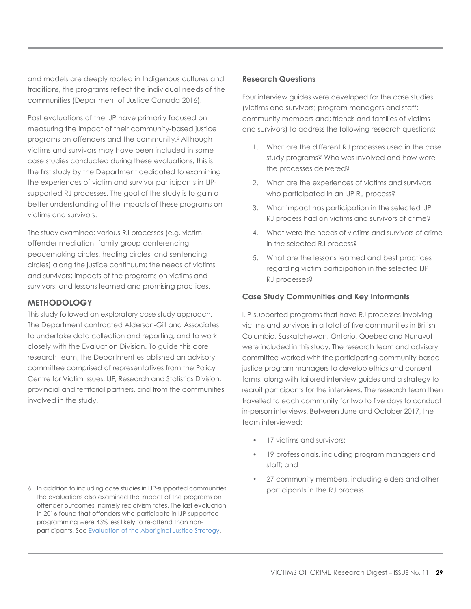<span id="page-28-0"></span>and models are deeply rooted in Indigenous cultures and traditions, the programs reflect the individual needs of the communities (Department of Justice Canada 2016).

Past evaluations of the IJP have primarily focused on measuring the impact of their community-based justice programs on offenders and the community.<sup>6</sup> Although victims and survivors may have been included in some case studies conducted during these evaluations, this is the first study by the Department dedicated to examining the experiences of victim and survivor participants in IJPsupported RJ processes. The goal of the study is to gain a better understanding of the impacts of these programs on victims and survivors.

The study examined: various RJ processes (e.g. victimoffender mediation, family group conferencing, peacemaking circles, healing circles, and sentencing circles) along the justice continuum; the needs of victims and survivors; impacts of the programs on victims and survivors; and lessons learned and promising practices.

# **Methodology**

This study followed an exploratory case study approach. The Department contracted Alderson-Gill and Associates to undertake data collection and reporting, and to work closely with the Evaluation Division. To guide this core research team, the Department established an advisory committee comprised of representatives from the Policy Centre for Victim Issues, IJP, Research and Statistics Division, provincial and territorial partners, and from the communities involved in the study.

#### **Research Questions**

Four interview guides were developed for the case studies (victims and survivors; program managers and staff; community members and; friends and families of victims and survivors) to address the following research questions:

- 1. What are the different RJ processes used in the case study programs? Who was involved and how were the processes delivered?
- 2. What are the experiences of victims and survivors who participated in an IJP RJ process?
- 3. What impact has participation in the selected IJP RJ process had on victims and survivors of crime?
- 4. What were the needs of victims and survivors of crime in the selected RJ process?
- 5. What are the lessons learned and best practices regarding victim participation in the selected IJP RJ processes?

## **Case Study Communities and Key Informants**

IJP-supported programs that have RJ processes involving victims and survivors in a total of five communities in British Columbia, Saskatchewan, Ontario, Quebec and Nunavut were included in this study. The research team and advisory committee worked with the participating community-based justice program managers to develop ethics and consent forms, along with tailored interview guides and a strategy to recruit participants for the interviews. The research team then travelled to each community for two to five days to conduct in-person interviews. Between June and October 2017, the team interviewed:

- 17 victims and survivors;
- 19 professionals, including program managers and staff; and
- 27 community members, including elders and other participants in the RJ process.

<sup>6</sup> In addition to including case studies in IJP-supported communities, the evaluations also examined the impact of the programs on offender outcomes, namely recidivism rates. The last evaluation in 2016 found that offenders who participate in IJP-supported programming were 43% less likely to re-offend than nonparticipants. See [Evaluation of the Aboriginal Justice Strategy](http://www.justice.gc.ca/eng/rp-pr/cp-pm/eval/rep-rap/2016/ajs-sja/index.html).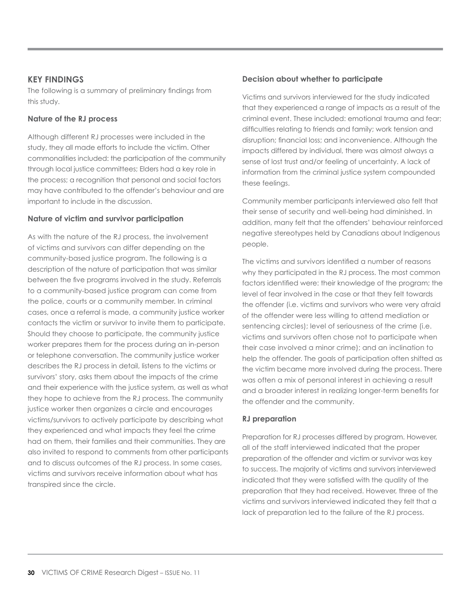# **Key Findings**

The following is a summary of preliminary findings from this study.

## **Nature of the RJ process**

Although different RJ processes were included in the study, they all made efforts to include the victim. Other commonalities included: the participation of the community through local justice committees; Elders had a key role in the process; a recognition that personal and social factors may have contributed to the offender's behaviour and are important to include in the discussion.

#### **Nature of victim and survivor participation**

As with the nature of the RJ process, the involvement of victims and survivors can differ depending on the community-based justice program. The following is a description of the nature of participation that was similar between the five programs involved in the study. Referrals to a community-based justice program can come from the police, courts or a community member. In criminal cases, once a referral is made, a community justice worker contacts the victim or survivor to invite them to participate. Should they choose to participate, the community justice worker prepares them for the process during an in-person or telephone conversation. The community justice worker describes the RJ process in detail, listens to the victims or survivors' story, asks them about the impacts of the crime and their experience with the justice system, as well as what they hope to achieve from the RJ process. The community justice worker then organizes a circle and encourages victims/survivors to actively participate by describing what they experienced and what impacts they feel the crime had on them, their families and their communities. They are also invited to respond to comments from other participants and to discuss outcomes of the RJ process. In some cases, victims and survivors receive information about what has transpired since the circle.

# **Decision about whether to participate**

Victims and survivors interviewed for the study indicated that they experienced a range of impacts as a result of the criminal event. These included: emotional trauma and fear; difficulties relating to friends and family; work tension and disruption; financial loss; and inconvenience. Although the impacts differed by individual, there was almost always a sense of lost trust and/or feeling of uncertainty. A lack of information from the criminal justice system compounded these feelings.

Community member participants interviewed also felt that their sense of security and well-being had diminished. In addition, many felt that the offenders' behaviour reinforced negative stereotypes held by Canadians about Indigenous people.

The victims and survivors identified a number of reasons why they participated in the RJ process. The most common factors identified were: their knowledge of the program; the level of fear involved in the case or that they felt towards the offender (i.e. victims and survivors who were very afraid of the offender were less willing to attend mediation or sentencing circles); level of seriousness of the crime (i.e. victims and survivors often chose not to participate when their case involved a minor crime); and an inclination to help the offender. The goals of participation often shifted as the victim became more involved during the process. There was often a mix of personal interest in achieving a result and a broader interest in realizing longer-term benefits for the offender and the community.

## **RJ preparation**

Preparation for RJ processes differed by program. However, all of the staff interviewed indicated that the proper preparation of the offender and victim or survivor was key to success. The majority of victims and survivors interviewed indicated that they were satisfied with the quality of the preparation that they had received. However, three of the victims and survivors interviewed indicated they felt that a lack of preparation led to the failure of the RJ process.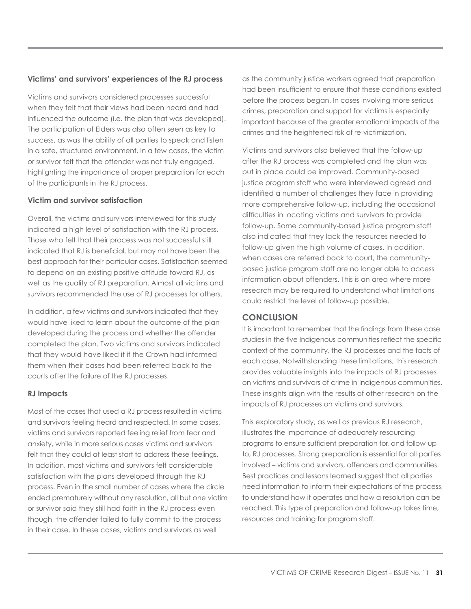# **Victims' and survivors' experiences of the RJ process**

Victims and survivors considered processes successful when they felt that their views had been heard and had influenced the outcome (i.e. the plan that was developed). The participation of Elders was also often seen as key to success, as was the ability of all parties to speak and listen in a safe, structured environment. In a few cases, the victim or survivor felt that the offender was not truly engaged, highlighting the importance of proper preparation for each of the participants in the RJ process.

# **Victim and survivor satisfaction**

Overall, the victims and survivors interviewed for this study indicated a high level of satisfaction with the RJ process. Those who felt that their process was not successful still indicated that RJ is beneficial, but may not have been the best approach for their particular cases. Satisfaction seemed to depend on an existing positive attitude toward RJ, as well as the quality of RJ preparation. Almost all victims and survivors recommended the use of RJ processes for others.

In addition, a few victims and survivors indicated that they would have liked to learn about the outcome of the plan developed during the process and whether the offender completed the plan. Two victims and survivors indicated that they would have liked it if the Crown had informed them when their cases had been referred back to the courts after the failure of the RJ processes.

# **RJ impacts**

Most of the cases that used a RJ process resulted in victims and survivors feeling heard and respected. In some cases, victims and survivors reported feeling relief from fear and anxiety, while in more serious cases victims and survivors felt that they could at least start to address these feelings. In addition, most victims and survivors felt considerable satisfaction with the plans developed through the RJ process. Even in the small number of cases where the circle ended prematurely without any resolution, all but one victim or survivor said they still had faith in the RJ process even though, the offender failed to fully commit to the process in their case. In these cases, victims and survivors as well

as the community justice workers agreed that preparation had been insufficient to ensure that these conditions existed before the process began. In cases involving more serious crimes, preparation and support for victims is especially important because of the greater emotional impacts of the crimes and the heightened risk of re-victimization.

Victims and survivors also believed that the follow-up after the RJ process was completed and the plan was put in place could be improved. Community-based justice program staff who were interviewed agreed and identified a number of challenges they face in providing more comprehensive follow-up, including the occasional difficulties in locating victims and survivors to provide follow-up. Some community-based justice program staff also indicated that they lack the resources needed to follow-up given the high volume of cases. In addition, when cases are referred back to court, the communitybased justice program staff are no longer able to access information about offenders. This is an area where more research may be required to understand what limitations could restrict the level of follow-up possible.

# **Conclusion**

It is important to remember that the findings from these case studies in the five Indigenous communities reflect the specific context of the community, the RJ processes and the facts of each case. Notwithstanding these limitations, this research provides valuable insights into the impacts of RJ processes on victims and survivors of crime in Indigenous communities. These insights align with the results of other research on the impacts of RJ processes on victims and survivors.

This exploratory study, as well as previous RJ research, illustrates the importance of adequately resourcing programs to ensure sufficient preparation for, and follow-up to, RJ processes. Strong preparation is essential for all parties involved – victims and survivors, offenders and communities. Best practices and lessons learned suggest that all parties need information to inform their expectations of the process, to understand how it operates and how a resolution can be reached. This type of preparation and follow-up takes time, resources and training for program staff.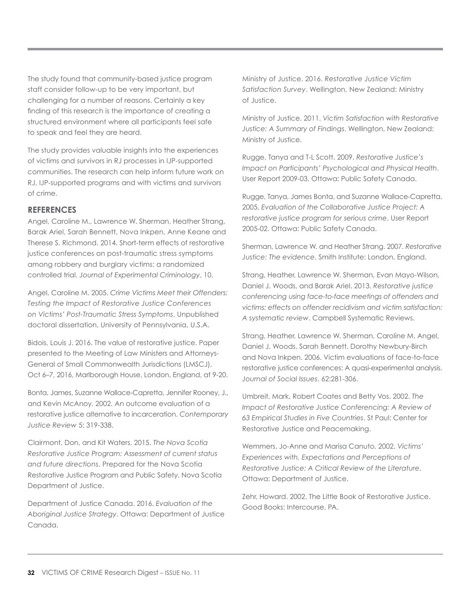The study found that community-based justice program staff consider follow-up to be very important, but challenging for a number of reasons. Certainly a key finding of this research is the importance of creating a structured environment where all participants feel safe to speak and feel they are heard.

The study provides valuable insights into the experiences of victims and survivors in RJ processes in IJP-supported communities. The research can help inform future work on RJ, IJP-supported programs and with victims and survivors of crime.

# **References**

Angel, Caroline M., Lawrence W. Sherman, Heather Strang, Barak Ariel, Sarah Bennett, Nova Inkpen, Anne Keane and Therese S. Richmond. 2014. Short-term effects of restorative justice conferences on post-traumatic stress symptoms among robbery and burglary victims: a randomized controlled trial. *Journal of Experimental Criminology*, 10.

Angel, Caroline M. 2005. *Crime Victims Meet their Offenders: Testing the Impact of Restorative Justice Conferences on Victims' Post-Traumatic Stress Symptoms*. Unpublished doctoral dissertation, University of Pennsylvania, U.S.A.

Bidois, Louis J. 2016. The value of restorative justice. Paper presented to the Meeting of Law Ministers and Attorneys-General of Small Commonwealth Jurisdictions (LMSCJ), Oct 6–7, 2016, Marlborough House, London, England, at 9-20.

Bonta, James, Suzanne Wallace-Capretta, Jennifer Rooney, J., and Kevin McAnoy. 2002. An outcome evaluation of a restorative justice alternative to incarceration. *Contemporary Justice Review* 5: 319-338.

Clairmont, Don, and Kit Waters. 2015. *The Nova Scotia Restorative Justice Program: Assessment of current status and future directions*. Prepared for the Nova Scotia Restorative Justice Program and Public Safety. Nova Scotia Department of Justice.

Department of Justice Canada. 2016. *Evaluation of the Aboriginal Justice Strategy*. Ottawa: Department of Justice Canada.

Ministry of Justice. 2016. *Restorative Justice Victim Satisfaction Survey*. Wellington, New Zealand: Ministry of Justice.

Ministry of Justice. 2011. *Victim Satisfaction with Restorative Justice: A Summary of Findings*. Wellington, New Zealand: Ministry of Justice.

Rugge, Tanya and T-L Scott. 2009. *Restorative Justice's Impact on Participants' Psychological and Physical Health*. User Report 2009-03. Ottawa: Public Safety Canada.

Rugge, Tanya, James Bonta, and Suzanne Wallace-Capretta. 2005. *Evaluation of the Collaborative Justice Project: A restorative justice program for serious crime*. User Report 2005-02. Ottawa: Public Safety Canada.

Sherman, Lawrence W. and Heather Strang. 2007. *Restorative Justice: The evidence*. Smith Institute: London, England.

Strang, Heather, Lawrence W. Sherman, Evan Mayo-Wilson, Daniel J. Woods, and Barak Ariel. 2013. *Restorative justice conferencing using face-to-face meetings of offenders and victims: effects on offender recidivism and victim satisfaction: A systematic review*. Campbell Systematic Reviews.

Strang, Heather, Lawrence W. Sherman, Caroline M. Angel, Daniel J. Woods, Sarah Bennett, Dorothy Newbury-Birch and Nova Inkpen. 2006. Victim evaluations of face-to-face restorative justice conferences: A quasi-experimental analysis. *Journal of Social Issues*. 62:281-306.

Umbreit, Mark, Robert Coates and Betty Vos. 2002. *The Impact of Restorative Justice Conferencing: A Review of 63 Empirical Studies in Five Countries*. St Paul: Center for Restorative Justice and Peacemaking.

Wemmers, Jo-Anne and Marisa Canuto. 2002. *Victims' Experiences with, Expectations and Perceptions of Restorative Justice: A Critical Review of the Literature*. Ottawa: Department of Justice.

Zehr, Howard. 2002. The Little Book of Restorative Justice. Good Books: Intercourse, PA.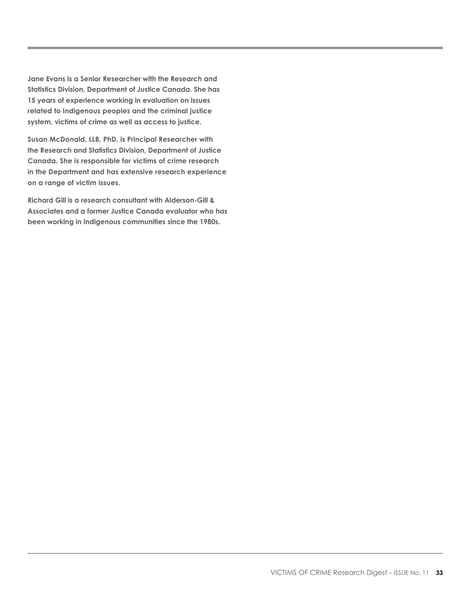**Jane Evans is a Senior Researcher with the Research and Statistics Division, Department of Justice Canada. She has 15 years of experience working in evaluation on issues related to Indigenous peoples and the criminal justice system, victims of crime as well as access to justice.**

**Susan McDonald, LLB, PhD, is Principal Researcher with the Research and Statistics Division, Department of Justice Canada. She is responsible for victims of crime research in the Department and has extensive research experience on a range of victim issues.**

**Richard Gill is a research consultant with Alderson-Gill & Associates and a former Justice Canada evaluator who has been working in Indigenous communities since the 1980s.**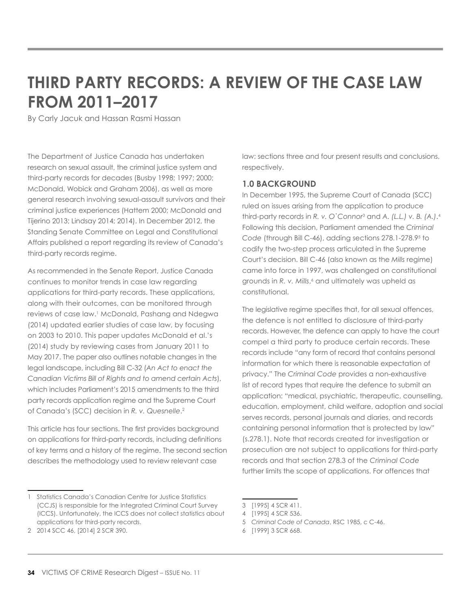# **Third Party Records: A Review of the Case Law from 2011–2017**

By Carly Jacuk and Hassan Rasmi Hassan

The Department of Justice Canada has undertaken research on sexual assault, the criminal justice system and third-party records for decades (Busby 1998; 1997; 2000; McDonald, Wobick and Graham 2006), as well as more general research involving sexual-assault survivors and their criminal justice experiences (Hattem 2000; McDonald and Tijerino 2013; Lindsay 2014; 2014). In December 2012, the Standing Senate Committee on Legal and Constitutional Affairs published a report regarding its review of Canada's third-party records regime.

As recommended in the Senate Report, Justice Canada continues to monitor trends in case law regarding applications for third-party records. These applications, along with their outcomes, can be monitored through reviews of case law.1 McDonald, Pashang and Ndegwa (2014) updated earlier studies of case law, by focusing on 2003 to 2010. This paper updates McDonald et al.'s (2014) study by reviewing cases from January 2011 to May 2017. The paper also outlines notable changes in the legal landscape, including Bill C-32 (*An Act to enact the Canadian Victims Bill of Rights and to amend certain Acts*), which includes Parliament's 2015 amendments to the third party records application regime and the Supreme Court of Canada's (SCC) decision in *R. v. Quesnelle*. 2

This article has four sections. The first provides background on applications for third-party records, including definitions of key terms and a history of the regime. The second section describes the methodology used to review relevant case

law; sections three and four present results and conclusions, respectively.

# **1.0 Background**

In December 1995, the Supreme Court of Canada (SCC) ruled on issues arising from the application to produce third-party records in *R. v. O`Connor*<sup>3</sup> and *A. (L.L.) v. B. (A.)*. 4 Following this decision, Parliament amended the *Criminal Code* (through Bill C-46), adding sections 278.1-278.9<sup>5</sup> to codify the two-step process articulated in the Supreme Court's decision. Bill C-46 (also known as the *Mills* regime) came into force in 1997, was challenged on constitutional grounds in *R*. v. Mills,<sup>6</sup> and ultimately was upheld as constitutional.

The legislative regime specifies that, for all sexual offences, the defence is not entitled to disclosure of third-party records. However, the defence can apply to have the court compel a third party to produce certain records. These records include "any form of record that contains personal information for which there is reasonable expectation of privacy." The *Criminal Code* provides a non-exhaustive list of record types that require the defence to submit an application: "medical, psychiatric, therapeutic, counselling, education, employment, child welfare, adoption and social serves records, personal journals and diaries, and records containing personal information that is protected by law" (s.278.1). Note that records created for investigation or prosecution are not subject to applications for third-party records and that section 278.3 of the *Criminal Code* further limits the scope of applications. For offences that

- 5 *Criminal Code of Canada*, RSC 1985, c C-46.
- 6 [1999] 3 SCR 668.

<sup>1</sup> Statistics Canada's Canadian Centre for Justice Statistics (CCJS) is responsible for the Integrated Criminal Court Survey (ICCS). Unfortunately, the ICCS does not collect statistics about applications for third-party records.

<sup>2</sup> 2014 SCC 46, [2014] 2 SCR 390.

<sup>3</sup> [1995] 4 SCR 411.

<sup>4</sup> [1995] 4 SCR 536.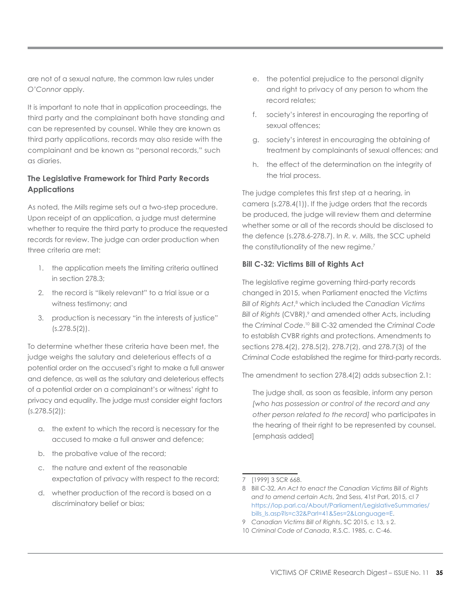are not of a sexual nature, the common law rules under *O'Connor* apply.

It is important to note that in application proceedings, the third party and the complainant both have standing and can be represented by counsel. While they are known as third party applications, records may also reside with the complainant and be known as "personal records," such as diaries.

# **The Legislative Framework for Third Party Records Applications**

As noted, the *Mills* regime sets out a two-step procedure. Upon receipt of an application, a judge must determine whether to require the third party to produce the requested records for review. The judge can order production when three criteria are met:

- 1. the application meets the limiting criteria outlined in section 278.3;
- 2. the record is "likely relevant" to a trial issue or a witness testimony; and
- 3. production is necessary "in the interests of justice"  $(s.278.5(2))$ .

To determine whether these criteria have been met, the judge weighs the salutary and deleterious effects of a potential order on the accused's right to make a full answer and defence, as well as the salutary and deleterious effects of a potential order on a complainant's or witness' right to privacy and equality. The judge must consider eight factors  $(s.278.5(2))$ :

- a. the extent to which the record is necessary for the accused to make a full answer and defence;
- b. the probative value of the record;
- c. the nature and extent of the reasonable expectation of privacy with respect to the record;
- d. whether production of the record is based on a discriminatory belief or bias;
- e. the potential prejudice to the personal dignity and right to privacy of any person to whom the record relates;
- f. society's interest in encouraging the reporting of sexual offences;
- g. society's interest in encouraging the obtaining of treatment by complainants of sexual offences; and
- h. the effect of the determination on the integrity of the trial process.

The judge completes this first step at a hearing, in camera (s.278.4(1)). If the judge orders that the records be produced, the judge will review them and determine whether some or all of the records should be disclosed to the defence (s.278.6-278.7). In *R. v. Mills*, the SCC upheld the constitutionality of the new regime.<sup>7</sup>

# **Bill C-32: Victims Bill of Rights Act**

The legislative regime governing third-party records changed in 2015, when Parliament enacted the *Victims*  Bill of Rights Act,<sup>8</sup> which included the Canadian Victims Bill of Rights (CVBR),<sup>9</sup> and amended other Acts, including the *Criminal Code*. 10 Bill C-32 amended the *Criminal Code* to establish CVBR rights and protections. Amendments to sections 278.4(2), 278.5(2), 278.7(2), and 278.7(3) of the *Criminal Code* established the regime for third-party records.

The amendment to section 278.4(2) adds subsection 2.1:

The judge shall, as soon as feasible, inform any person *[who has possession or control of the record and any other person related to the record]* who participates in the hearing of their right to be represented by counsel. [emphasis added]

10 *Criminal Code of Canada*, R.S.C. 1985, c. C-46.

<sup>7</sup> [1999] 3 SCR 668.

<sup>8</sup> Bill C-32, *An Act to enact the Canadian Victims Bill of Rights and to amend certain Acts*, 2nd Sess, 41st Parl, 2015, cl 7 [https://lop.parl.ca/About/Parliament/LegislativeSummaries/](https://lop.parl.ca/About/Parliament/LegislativeSummaries/bills_ls.asp%3Fls%3Dc32%26Parl%3D41%26Ses%3D2%26Language%3DE) [bills\\_ls.asp?ls=c32&Parl=41&Ses=2&Language=E.](https://lop.parl.ca/About/Parliament/LegislativeSummaries/bills_ls.asp%3Fls%3Dc32%26Parl%3D41%26Ses%3D2%26Language%3DE)

<sup>9</sup> *Canadian Victims Bill of Rights*, SC 2015, c 13, s 2.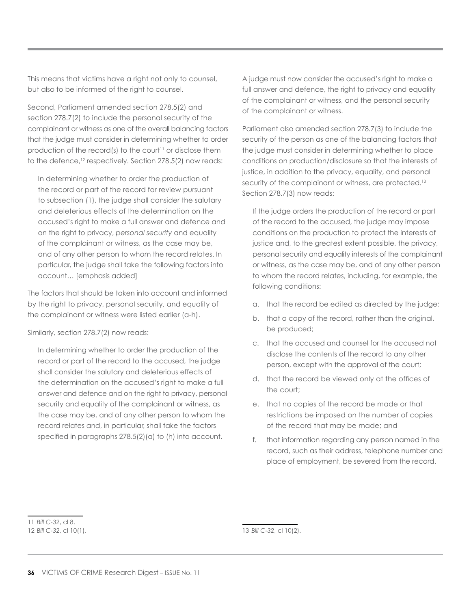This means that victims have a right not only to counsel, but also to be informed of the right to counsel.

Second, Parliament amended section 278.5(2) and section 278.7(2) to include the personal security of the complainant or witness as one of the overall balancing factors that the judge must consider in determining whether to order production of the record(s) to the court<sup>11</sup> or disclose them to the defence,<sup>12</sup> respectively. Section 278.5(2) now reads:

In determining whether to order the production of the record or part of the record for review pursuant to subsection (1), the judge shall consider the salutary and deleterious effects of the determination on the accused's right to make a full answer and defence and on the right to privacy, *personal security* and equality of the complainant or witness, as the case may be, and of any other person to whom the record relates. In particular, the judge shall take the following factors into account… [emphasis added]

The factors that should be taken into account and informed by the right to privacy, personal security, and equality of the complainant or witness were listed earlier (a-h).

Similarly, section 278.7(2) now reads:

In determining whether to order the production of the record or part of the record to the accused, the judge shall consider the salutary and deleterious effects of the determination on the accused's right to make a full answer and defence and on the right to privacy, personal security and equality of the complainant or witness, as the case may be, and of any other person to whom the record relates and, in particular, shall take the factors specified in paragraphs 278.5(2)(a) to (h) into account.

A judge must now consider the accused's right to make a full answer and defence, the right to privacy and equality of the complainant or witness, and the personal security of the complainant or witness.

Parliament also amended section 278.7(3) to include the security of the person as one of the balancing factors that the judge must consider in determining whether to place conditions on production/disclosure so that the interests of justice, in addition to the privacy, equality, and personal security of the complainant or witness, are protected.<sup>13</sup> Section 278.7(3) now reads:

If the judge orders the production of the record or part of the record to the accused, the judge may impose conditions on the production to protect the interests of justice and, to the greatest extent possible, the privacy, personal security and equality interests of the complainant or witness, as the case may be, and of any other person to whom the record relates, including, for example, the following conditions:

- a. that the record be edited as directed by the judge;
- b. that a copy of the record, rather than the original, be produced;
- c. that the accused and counsel for the accused not disclose the contents of the record to any other person, except with the approval of the court;
- d. that the record be viewed only at the offices of the court;
- e. that no copies of the record be made or that restrictions be imposed on the number of copies of the record that may be made; and
- f. that information regarding any person named in the record, such as their address, telephone number and place of employment, be severed from the record.

13 *Bill C-32*, cl 10(2).

<sup>11</sup> *Bill C-32*, cl 8.

<sup>12</sup> *Bill C-32*, cl 10(1).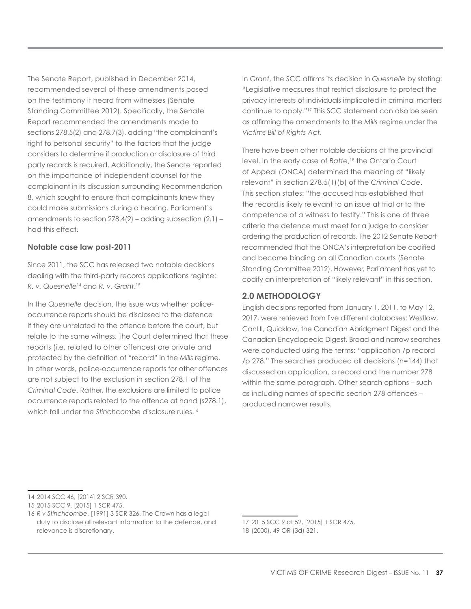The Senate Report, published in December 2014, recommended several of these amendments based on the testimony it heard from witnesses (Senate Standing Committee 2012). Specifically, the Senate Report recommended the amendments made to sections 278.5(2) and 278.7(3), adding "the complainant's right to personal security" to the factors that the judge considers to determine if production or disclosure of third party records is required. Additionally, the Senate reported on the importance of independent counsel for the complainant in its discussion surrounding Recommendation 8, which sought to ensure that complainants knew they could make submissions during a hearing. Parliament's amendments to section 278.4(2) – adding subsection (2.1) – had this effect.

## **Notable case law post-2011**

Since 2011, the SCC has released two notable decisions dealing with the third-party records applications regime: *R. v. Quesnelle*14 and *R. v. Grant*. 15

In the *Quesnelle* decision, the issue was whether policeoccurrence reports should be disclosed to the defence if they are unrelated to the offence before the court, but relate to the same witness. The Court determined that these reports (i.e. related to other offences) are private and protected by the definition of "record" in the *Mills* regime. In other words, police-occurrence reports for other offences are not subject to the exclusion in section 278.1 of the *Criminal Code*. Rather, the exclusions are limited to police occurrence reports related to the offence at hand (s278.1), which fall under the *Stinchcombe* disclosure rules.16

In *Grant*, the SCC affirms its decision in *Quesnelle* by stating: "Legislative measures that restrict disclosure to protect the privacy interests of individuals implicated in criminal matters continue to apply."17 This SCC statement can also be seen as affirming the amendments to the *Mills* regime under the *Victims Bill of Rights Act*.

There have been other notable decisions at the provincial level. In the early case of *Batte*, 18 the Ontario Court of Appeal (ONCA) determined the meaning of "likely relevant" in section 278.5(1)(b) of the *Criminal Code*. This section states: "the accused has established that the record is likely relevant to an issue at trial or to the competence of a witness to testify." This is one of three criteria the defence must meet for a judge to consider ordering the production of records. The 2012 Senate Report recommended that the ONCA's interpretation be codified and become binding on all Canadian courts (Senate Standing Committee 2012). However, Parliament has yet to codify an interpretation of "likely relevant" in this section.

# **2.0 Methodology**

English decisions reported from January 1, 2011, to May 12, 2017, were retrieved from five different databases: Westlaw, CanLII, Quicklaw, the Canadian Abridgment Digest and the Canadian Encyclopedic Digest. Broad and narrow searches were conducted using the terms: "application /p record /p 278." The searches produced all decisions (n=144) that discussed an application, a record and the number 278 within the same paragraph. Other search options – such as including names of specific section 278 offences – produced narrower results.

<sup>14</sup> 2014 SCC 46, [2014] 2 SCR 390.

<sup>15</sup> 2015 SCC 9, [2015] 1 SCR 475.

<sup>16</sup> *R v Stinchcombe*, [1991] 3 SCR 326. The Crown has a legal duty to disclose all relevant information to the defence, and relevance is discretionary.

<sup>17</sup> 2015 SCC 9 at 52, [2015] 1 SCR 475. 18 (2000), 49 OR (3d) 321.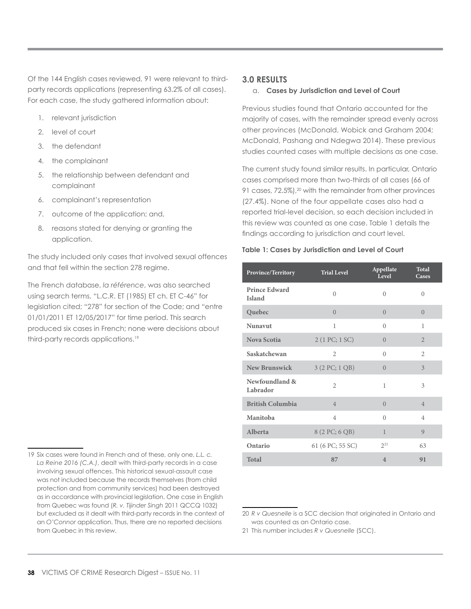Of the 144 English cases reviewed, 91 were relevant to thirdparty records applications (representing 63.2% of all cases). For each case, the study gathered information about:

- 1. relevant jurisdiction
- 2. level of court
- 3. the defendant
- 4. the complainant
- 5. the relationship between defendant and complainant
- 6. complainant's representation
- 7. outcome of the application; and,
- 8. reasons stated for denying or granting the application.

The study included only cases that involved sexual offences and that fell within the section 278 regime.

The French database, *la référence*, was also searched using search terms, "L.C.R. ET (1985) ET ch. ET C-46" for legislation cited; "278" for section of the Code; and "entre 01/01/2011 ET 12/05/2017" for time period. This search produced six cases in French; none were decisions about third-party records applications.19

#### **3.0 Results**

#### a. **Cases by Jurisdiction and Level of Court**

Previous studies found that Ontario accounted for the majority of cases, with the remainder spread evenly across other provinces (McDonald, Wobick and Graham 2004; McDonald, Pashang and Ndegwa 2014). These previous studies counted cases with multiple decisions as one case.

The current study found similar results. In particular, Ontario cases comprised more than two-thirds of all cases (66 of 91 cases, 72.5%),<sup>20</sup> with the remainder from other provinces (27.4%). None of the four appellate cases also had a reported trial-level decision, so each decision included in this review was counted as one case. Table 1 details the findings according to jurisdiction and court level.

#### **Table 1: Cases by Jurisdiction and Level of Court**

| Province/Territory                    | <b>Trial Level</b> | Appellate<br>Level | <b>Total</b><br>Cases |
|---------------------------------------|--------------------|--------------------|-----------------------|
| <b>Prince Edward</b><br><b>Island</b> | $\left( \right)$   | $\theta$           | $\Omega$              |
| Quebec                                | $\Omega$           | $\Omega$           | $\Omega$              |
| <b>Nunavut</b>                        | 1                  | $\Omega$           | $\mathbf{1}$          |
| <b>Nova Scotia</b>                    | 2 (1 PC; 1 SC)     | $\Omega$           | $\overline{2}$        |
| Saskatchewan                          | $\overline{2}$     | $\Omega$           | $\overline{2}$        |
| <b>New Brunswick</b>                  | 3 (2 PC; 1 QB)     | $\Omega$           | 3                     |
| Newfoundland &<br>Labrador            | $\overline{2}$     | 1                  | 3                     |
| <b>British Columbia</b>               | $\overline{4}$     | $\theta$           | $\overline{4}$        |
| Manitoba                              | $\overline{4}$     | $\Omega$           | $\overline{4}$        |
| Alberta                               | 8 (2 PC; 6 QB)     | $\mathbf{1}$       | 9                     |
| Ontario                               | 61 (6 PC; 55 SC)   | $2^{21}$           | 63                    |
| <b>Total</b>                          | 87                 | $\overline{4}$     | 91                    |

<sup>19</sup> Six cases were found in French and of these, only one, *L.L. c. La Reine 2016 (C.A.)*, dealt with third-party records in a case involving sexual offences. This historical sexual-assault case was not included because the records themselves (from child protection and from community services) had been destroyed as in accordance with provincial legislation. One case in English from Quebec was found (*R. v. Tijinder Singh* 2011 QCCQ 1032) but excluded as it dealt with third-party records in the context of an *O'Connor* application. Thus, there are no reported decisions from Quebec in this review.

<sup>20</sup> *R v Quesnelle* is a SCC decision that originated in Ontario and was counted as an Ontario case.

<sup>21</sup> This number includes *R v Quesnelle* (SCC).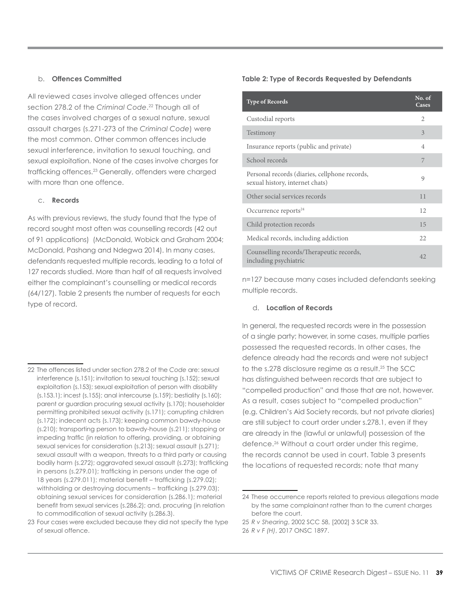#### b. **Offences Committed**

All reviewed cases involve alleged offences under section 278.2 of the *Criminal Code*. 22 Though all of the cases involved charges of a sexual nature, sexual assault charges (s.271-273 of the *Criminal Code*) were the most common. Other common offences include sexual interference, invitation to sexual touching, and sexual exploitation. None of the cases involve charges for trafficking offences.23 Generally, offenders were charged with more than one offence.

#### c. **Records**

As with previous reviews, the study found that the type of record sought most often was counselling records (42 out of 91 applications) (McDonald, Wobick and Graham 2004; McDonald, Pashang and Ndegwa 2014). In many cases, defendants requested multiple records, leading to a total of 127 records studied. More than half of all requests involved either the complainant's counselling or medical records (64/127). Table 2 presents the number of requests for each type of record.

#### Table 2: Type of Records Requested by Defendants

| <b>Type of Records</b>                                                           | No. of<br>Cases |
|----------------------------------------------------------------------------------|-----------------|
| Custodial reports                                                                | $\mathfrak{D}$  |
| Testimony                                                                        | 3               |
| Insurance reports (public and private)                                           | $\overline{4}$  |
| School records                                                                   | 7               |
| Personal records (diaries, cellphone records,<br>sexual history, internet chats) | $\mathsf{Q}$    |
| Other social services records                                                    | 11              |
| Occurrence reports $24$                                                          | 12              |
| Child protection records                                                         | 15              |
| Medical records, including addiction                                             | 22.             |
| Counselling records/Therapeutic records,<br>including psychiatric                | 42.             |

n=127 because many cases included defendants seeking multiple records.

#### d. **Location of Records**

In general, the requested records were in the possession of a single party; however, in some cases, multiple parties possessed the requested records. In other cases, the defence already had the records and were not subject to the s.278 disclosure regime as a result.25 The SCC has distinguished between records that are subject to "compelled production" and those that are not, however. As a result, cases subject to "compelled production" (e.g. Children's Aid Society records, but not private diaries) are still subject to court order under s.278.1, even if they are already in the (lawful or unlawful) possession of the defence.26 Without a court order under this regime, the records cannot be used in court. Table 3 presents the locations of requested records; note that many

<sup>22</sup> The offences listed under section 278.2 of the *Code* are: sexual interference (s.151); invitation to sexual touching (s.152); sexual exploitation (s.153); sexual exploitation of person with disability (s.153.1); incest (s.155); anal intercourse (s.159); bestiality (s.160); parent or guardian procuring sexual activity (s.170); householder permitting prohibited sexual activity (s.171); corrupting children (s.172); indecent acts (s.173); keeping common bawdy-house (s.210); transporting person to bawdy-house (s.211); stopping or impeding traffic (in relation to offering, providing, or obtaining sexual services for consideration (s.213); sexual assault (s.271); sexual assault with a weapon, threats to a third party or causing bodily harm (s.272); aggravated sexual assault (s.273); trafficking in persons (s.279.01); trafficking in persons under the age of 18 years (s.279.011); material benefit – trafficking (s.279.02); withholding or destroying documents – trafficking (s.279.03); obtaining sexual services for consideration (s.286.1); material benefit from sexual services (s.286.2); and, procuring (in relation to commodification of sexual activity (s.286.3).

<sup>23</sup> Four cases were excluded because they did not specify the type of sexual offence.

<sup>24</sup> These occurrence reports related to previous allegations made by the same complainant rather than to the current charges before the court.

<sup>25</sup> *R v Shearing*, 2002 SCC 58, [2002] 3 SCR 33.

<sup>26</sup> *R v F (H)*, 2017 ONSC 1897.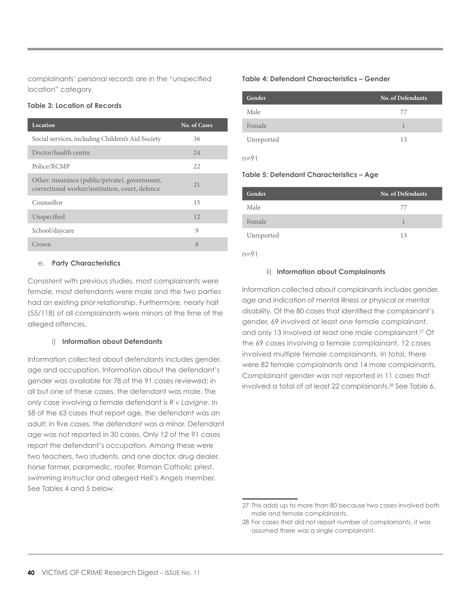complainants' personal records are in the "unspecified location" category.

#### **Table 3: Location of Records**

| Location                                                                                          | <b>No. of Cases</b> |
|---------------------------------------------------------------------------------------------------|---------------------|
| Social services, including Children's Aid Society                                                 | 36                  |
| Doctor/health centre                                                                              | 24                  |
| Police/RCMP                                                                                       | 22.                 |
| Other: insurance (public/private), government,<br>correctional worker/institution, court, defence | 2.1                 |
| Counsellor                                                                                        | 15                  |
| Unspecified                                                                                       | 12                  |
| School/daycare                                                                                    | $\mathsf{Q}$        |
| Crown                                                                                             | 8                   |
|                                                                                                   |                     |

#### e. **Party Characteristics**

Consistent with previous studies, most complainants were female, most defendants were male and the two parties had an existing prior relationship. Furthermore, nearly half (55/118) of all complainants were minors at the time of the alleged offences.

#### i) **Information about Defendants**

Information collected about defendants includes gender, age and occupation. Information about the defendant's gender was available for 78 of the 91 cases reviewed; in all but one of these cases, the defendant was male. The only case involving a female defendant is *R v Lavigne*. In 58 of the 63 cases that report age, the defendant was an adult; in five cases, the defendant was a minor. Defendant age was not reported in 30 cases. Only 12 of the 91 cases report the defendant's occupation. Among these were two teachers, two students, and one doctor, drug dealer, horse farmer, paramedic, roofer, Roman Catholic priest, swimming instructor and alleged Hell's Angels member. See Tables 4 and 5 below.

#### **Table 4: Defendant Characteristics – Gender**

| Gender     | No. of Defendants |
|------------|-------------------|
| Male       | 77                |
| Female     |                   |
| Unreported | 13                |
| $n=9$      |                   |

#### **Table 5: Defendant Characteristics – Age**

| Gender     | No. of Defendants |
|------------|-------------------|
| Male       | 77                |
| Female     |                   |
| Unreported | 13                |
| $n=9$      |                   |

#### ii) **Information about Complainants**

Information collected about complainants includes gender, age and indication of mental illness or physical or mental disability. Of the 80 cases that identified the complainant's gender, 69 involved at least one female complainant, and only 13 involved at least one male complainant.<sup>27</sup> Of the 69 cases involving a female complainant, 12 cases involved multiple female complainants. In total, there were 82 female complainants and 14 male complainants. Complainant gender was not reported in 11 cases that involved a total of at least 22 complainants.<sup>28</sup> See Table 6.

<sup>27</sup> This adds up to more than 80 because two cases involved both male and female complainants.

<sup>28</sup> For cases that did not report number of complainants, it was assumed there was a single complainant.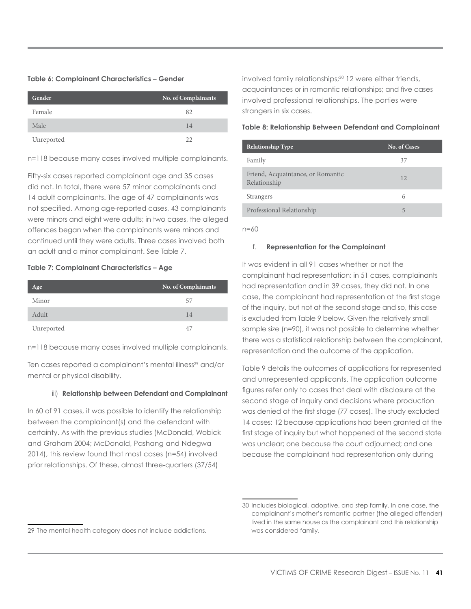#### **Table 6: Complainant Characteristics – Gender**

| Gender     | No. of Complainants |
|------------|---------------------|
| Female     | 82                  |
| Male       | 14                  |
| Unreported | フフ                  |

n=118 because many cases involved multiple complainants.

Fifty-six cases reported complainant age and 35 cases did not. In total, there were 57 minor complainants and 14 adult complainants. The age of 47 complainants was not specified. Among age-reported cases, 43 complainants were minors and eight were adults; in two cases, the alleged offences began when the complainants were minors and continued until they were adults. Three cases involved both an adult and a minor complainant. See Table 7.

#### **Table 7: Complainant Characteristics – Age**

| Age        | No. of Complainants |
|------------|---------------------|
| Minor      | 57                  |
| Adult      | 14                  |
| Unreported | 47                  |

n=118 because many cases involved multiple complainants.

Ten cases reported a complainant's mental illness<sup>29</sup> and/or mental or physical disability.

## iii) **Relationship between Defendant and Complainant**

In 60 of 91 cases, it was possible to identify the relationship between the complainant(s) and the defendant with certainty. As with the previous studies (McDonald, Wobick and Graham 2004; McDonald, Pashang and Ndegwa 2014), this review found that most cases (n=54) involved prior relationships. Of these, almost three-quarters (37/54)

involved family relationships;<sup>30</sup> 12 were either friends, acquaintances or in romantic relationships; and five cases involved professional relationships. The parties were strangers in six cases.

#### **Table 8: Relationship Between Defendant and Complainant**

| <b>Relationship Type</b>                          | <b>No. of Cases</b> |
|---------------------------------------------------|---------------------|
| Family                                            | 37                  |
| Friend, Acquaintance, or Romantic<br>Relationship | 12                  |
| Strangers                                         | 6                   |
| Professional Relationship                         | 5                   |

n=60

#### f. **Representation for the Complainant**

It was evident in all 91 cases whether or not the complainant had representation: in 51 cases, complainants had representation and in 39 cases, they did not. In one case, the complainant had representation at the first stage of the inquiry, but not at the second stage and so, this case is excluded from Table 9 below. Given the relatively small sample size (n=90), it was not possible to determine whether there was a statistical relationship between the complainant, representation and the outcome of the application.

Table 9 details the outcomes of applications for represented and unrepresented applicants. The application outcome figures refer only to cases that deal with disclosure at the second stage of inquiry and decisions where production was denied at the first stage (77 cases). The study excluded 14 cases: 12 because applications had been granted at the first stage of inquiry but what happened at the second state was unclear; one because the court adjourned; and one because the complainant had representation only during

<sup>29</sup> The mental health category does not include addictions.

<sup>30</sup> Includes biological, adoptive, and step family. In one case, the complainant's mother's romantic partner (the alleged offender) lived in the same house as the complainant and this relationship was considered family.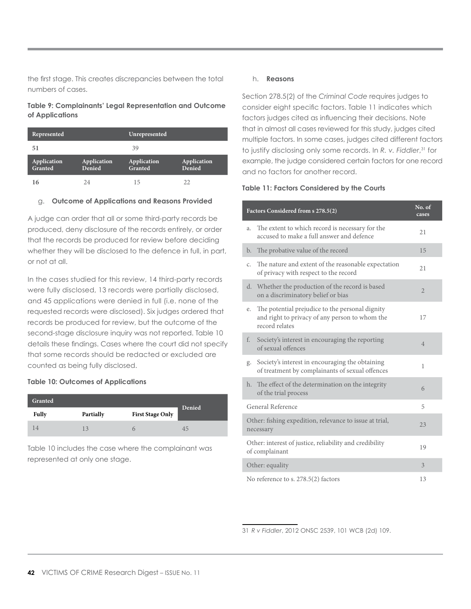the first stage. This creates discrepancies between the total numbers of cases.

### **Table 9: Complainants' Legal Representation and Outcome of Applications**

| Represented            |                       | Unrepresented          |                       |
|------------------------|-----------------------|------------------------|-----------------------|
| 51                     |                       | 39                     |                       |
|                        |                       |                        |                       |
| Application<br>Granted | Application<br>Denied | Application<br>Granted | Application<br>Denied |

#### g. **Outcome of Applications and Reasons Provided**

A judge can order that all or some third-party records be produced, deny disclosure of the records entirely, or order that the records be produced for review before deciding whether they will be disclosed to the defence in full, in part, or not at all.

In the cases studied for this review, 14 third-party records were fully disclosed, 13 records were partially disclosed, and 45 applications were denied in full (i.e. none of the requested records were disclosed). Six judges ordered that records be produced for review, but the outcome of the second-stage disclosure inquiry was not reported. Table 10 details these findings. Cases where the court did not specify that some records should be redacted or excluded are counted as being fully disclosed.

#### **Table 10: Outcomes of Applications**

| Granted |           |                         |        |
|---------|-----------|-------------------------|--------|
| Fully   | Partially | <b>First Stage Only</b> | Denied |
|         | 13        |                         | 45     |

Table 10 includes the case where the complainant was represented at only one stage.

#### h. **Reasons**

Section 278.5(2) of the *Criminal Code* requires judges to consider eight specific factors. Table 11 indicates which factors judges cited as influencing their decisions. Note that in almost all cases reviewed for this study, judges cited multiple factors. In some cases, judges cited different factors to justify disclosing only some records. In *R. v. Fiddler*, <sup>31</sup> for example, the judge considered certain factors for one record and no factors for another record.

#### **Table 11: Factors Considered by the Courts**

|    | Factors Considered from s 278.5(2)                                                                                  | No. of<br>cases |
|----|---------------------------------------------------------------------------------------------------------------------|-----------------|
| a. | The extent to which record is necessary for the<br>accused to make a full answer and defence                        | 21              |
| b. | The probative value of the record                                                                                   | 15              |
| C. | The nature and extent of the reasonable expectation<br>of privacy with respect to the record                        | 21              |
| d. | Whether the production of the record is based<br>on a discriminatory belief or bias                                 | $\overline{2}$  |
| e. | The potential prejudice to the personal dignity<br>and right to privacy of any person to whom the<br>record relates | 17              |
| f. | Society's interest in encouraging the reporting<br>of sexual offences                                               | $\overline{4}$  |
| g. | Society's interest in encouraging the obtaining<br>of treatment by complainants of sexual offences                  | 1               |
| h. | The effect of the determination on the integrity<br>of the trial process                                            | 6               |
|    | General Reference                                                                                                   | 5               |
|    | Other: fishing expedition, relevance to issue at trial,<br>necessary                                                | 23              |
|    | Other: interest of justice, reliability and credibility<br>of complainant                                           | 19              |
|    | Other: equality                                                                                                     | 3               |
|    | No reference to s. 278.5(2) factors                                                                                 | 13              |

31 *R v Fiddler*, 2012 ONSC 2539, 101 WCB (2d) 109.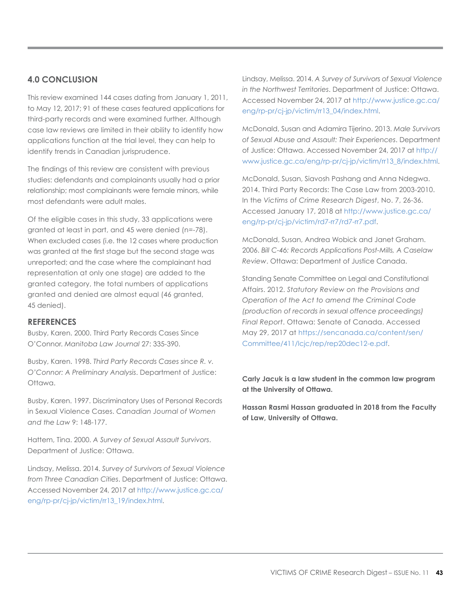# **4.0 Conclusion**

This review examined 144 cases dating from January 1, 2011, to May 12, 2017; 91 of these cases featured applications for third-party records and were examined further. Although case law reviews are limited in their ability to identify how applications function at the trial level, they can help to identify trends in Canadian jurisprudence.

The findings of this review are consistent with previous studies: defendants and complainants usually had a prior relationship; most complainants were female minors, while most defendants were adult males.

Of the eligible cases in this study, 33 applications were granted at least in part, and 45 were denied (n=-78). When excluded cases (i.e. the 12 cases where production was granted at the first stage but the second stage was unreported; and the case where the complainant had representation at only one stage) are added to the granted category, the total numbers of applications granted and denied are almost equal (46 granted, 45 denied).

## **References**

Busby, Karen. 2000. Third Party Records Cases Since O'Connor. *Manitoba Law Journal* 27: 335-390.

Busby, Karen. 1998. *Third Party Records Cases since R. v. O'Connor: A Preliminary Analysis*. Department of Justice: Ottawa.

Busby, Karen. 1997. Discriminatory Uses of Personal Records in Sexual Violence Cases. *Canadian Journal of Women and the Law* 9: 148-177.

Hattem, Tina. 2000. *A Survey of Sexual Assault Survivors*. Department of Justice: Ottawa.

Lindsay, Melissa. 2014. *Survey of Survivors of Sexual Violence from Three Canadian Cities*. Department of Justice: Ottawa. Accessed November 24, 2017 at [http://www.justice.gc.ca/](http://www.justice.gc.ca/eng/rp-pr/cj-jp/victim/rr13_19/index.html) [eng/rp-pr/cj-jp/victim/rr13\\_19/index.html](http://www.justice.gc.ca/eng/rp-pr/cj-jp/victim/rr13_19/index.html).

Lindsay, Melissa. 2014. *A Survey of Survivors of Sexual Violence in the Northwest Territories*. Department of Justice: Ottawa. Accessed November 24, 2017 at [http://www.justice.gc.ca/](http://www.justice.gc.ca/eng/rp-pr/cj-jp/victim/rr13_04/index.html) [eng/rp-pr/cj-jp/victim/rr13\\_04/index.html](http://www.justice.gc.ca/eng/rp-pr/cj-jp/victim/rr13_04/index.html).

McDonald, Susan and Adamira Tijerino. 2013. *Male Survivors of Sexual Abuse and Assault: Their Experiences*. Department of Justice: Ottawa. Accessed November 24, 2017 at [http://](http://www.justice.gc.ca/eng/rp-pr/cj-jp/victim/rr13_8/index.html) [www.justice.gc.ca/eng/rp-pr/cj-jp/victim/rr13\\_8/index.html](http://www.justice.gc.ca/eng/rp-pr/cj-jp/victim/rr13_8/index.html).

McDonald, Susan, Siavosh Pashang and Anna Ndegwa. 2014. Third Party Records: The Case Law from 2003-2010. In the *Victims of Crime Research Digest*, No. 7, 26-36. Accessed January 17, 2018 at [http://www.justice.gc.ca/](http://www.justice.gc.ca/eng/rp-pr/cj-jp/victim/rd7-rr7/rd7-rr7.pdf) [eng/rp-pr/cj-jp/victim/rd7-rr7/rd7-rr7.pdf](http://www.justice.gc.ca/eng/rp-pr/cj-jp/victim/rd7-rr7/rd7-rr7.pdf).

McDonald, Susan, Andrea Wobick and Janet Graham. 2006. *Bill C-46: Records Applications Post-Mills, A Caselaw Review*. Ottawa: Department of Justice Canada.

Standing Senate Committee on Legal and Constitutional Affairs. 2012. *Statutory Review on the Provisions and Operation of the Act to amend the Criminal Code (production of records in sexual offence proceedings) Final Report*. Ottawa: Senate of Canada. Accessed May 29, 2017 at [https://sencanada.ca/content/sen/](https://sencanada.ca/content/sen/Committee/411/lcjc/rep/rep20dec12-e.pdf) [Committee/411/lcjc/rep/rep20dec12-e.pdf](https://sencanada.ca/content/sen/Committee/411/lcjc/rep/rep20dec12-e.pdf).

**Carly Jacuk is a law student in the common law program at the University of Ottawa.**

**Hassan Rasmi Hassan graduated in 2018 from the Faculty of Law, University of Ottawa.**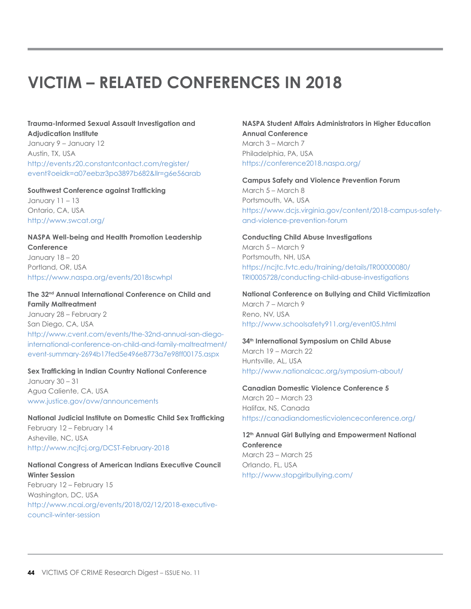# **VICTIM – RELATED CONFERENCES IN 2018**

#### **Trauma-Informed Sexual Assault Investigation and Adjudication Institute** January 9 – January 12 Austin, TX, USA

[http://events.r20.constantcontact.com/register/](http://events.r20.constantcontact.com/register/event%3Foeidk%3Da07eebzr3po3897b682%26llr%3Dg6e56arab) [event?oeidk=a07eebzr3po3897b682&llr=g6e56arab](http://events.r20.constantcontact.com/register/event%3Foeidk%3Da07eebzr3po3897b682%26llr%3Dg6e56arab)

### **Southwest Conference against Trafficking**  January 11 – 13 Ontario, CA, USA <http://www.swcat.org/>

# **NASPA Well-being and Health Promotion Leadership Conference** January 18 – 20 Portland, OR, USA

<https://www.naspa.org/events/2018scwhpl>

# **The 32nd Annual International Conference on Child and Family Maltreatment**

January 28 – February 2 San Diego, CA, USA [http://www.cvent.com/events/the-32nd-annual-san-diego](http://www.cvent.com/events/the-32nd-annual-san-diego-international-conference-on-child-and-family-maltreatment/event-summary-2694b17fed5e496e8773a7e98ff00175.aspx)[international-conference-on-child-and-family-maltreatment/](http://www.cvent.com/events/the-32nd-annual-san-diego-international-conference-on-child-and-family-maltreatment/event-summary-2694b17fed5e496e8773a7e98ff00175.aspx) [event-summary-2694b17fed5e496e8773a7e98ff00175.aspx](http://www.cvent.com/events/the-32nd-annual-san-diego-international-conference-on-child-and-family-maltreatment/event-summary-2694b17fed5e496e8773a7e98ff00175.aspx)

# **Sex Trafficking in Indian Country National Conference**

January 30 – 31 Agua Caliente, CA, USA [www.justice.gov/ovw/announcements](http://www.justice.gov/ovw/announcements)

#### **National Judicial Institute on Domestic Child Sex Trafficking** February 12 – February 14

Asheville, NC, USA <http://www.ncjfcj.org/DCST-February-2018>

#### **National Congress of American Indians Executive Council Winter Session**

February 12 – February 15 Washington, DC, USA [http://www.ncai.org/events/2018/02/12/2018-executive](http://www.ncai.org/events/2018/02/12/2018-executive-council-winter-session)[council-winter-session](http://www.ncai.org/events/2018/02/12/2018-executive-council-winter-session)

### **NASPA Student Affairs Administrators in Higher Education Annual Conference** March 3 – March 7 Philadelphia, PA, USA <https://conference2018.naspa.org/>

# **Campus Safety and Violence Prevention Forum** March 5 – March 8 Portsmouth, VA, USA [https://www.dcjs.virginia.gov/content/2018-campus-safety](https://www.dcjs.virginia.gov/content/2018-campus-safety-and-violence-prevention-forum)[and-violence-prevention-forum](https://www.dcjs.virginia.gov/content/2018-campus-safety-and-violence-prevention-forum)

#### **Conducting Child Abuse Investigations**

March 5 – March 9 Portsmouth, NH, USA [https://ncjtc.fvtc.edu/training/details/TR00000080/](https://ncjtc.fvtc.edu/training/details/TR00000080/TRI0005728/conducting-child-abuse-investigations) [TRI0005728/conducting-child-abuse-investigations](https://ncjtc.fvtc.edu/training/details/TR00000080/TRI0005728/conducting-child-abuse-investigations)

# **National Conference on Bullying and Child Victimization** March 7 – March 9 Reno, NV, USA

<http://www.schoolsafety911.org/event05.html>

# **34th International Symposium on Child Abuse** March 19 – March 22 Huntsville, AL, USA <http://www.nationalcac.org/symposium-about/>

#### **Canadian Domestic Violence Conference 5**

March 20 – March 23 Halifax, NS, Canada <https://canadiandomesticviolenceconference.org/>

# 12<sup>th</sup> Annual Girl Bullying and Empowerment National **Conference** March 23 – March 25

Orlando, FL, USA <http://www.stopgirlbullying.com/>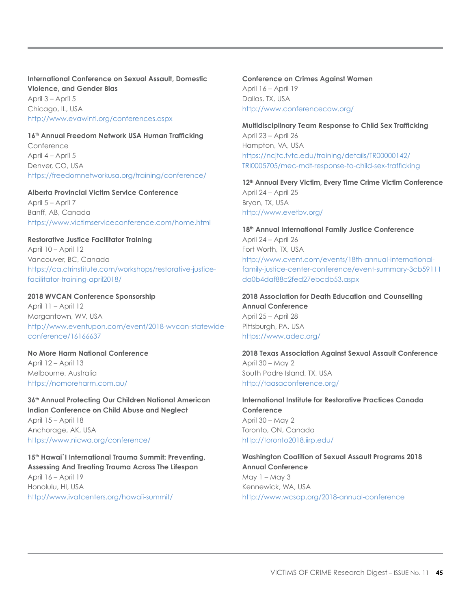# **International Conference on Sexual Assault, Domestic Violence, and Gender Bias** April 3 – April 5 Chicago, IL, USA

<http://www.evawintl.org/conferences.aspx> **16th Annual Freedom Network USA Human Trafficking** 

Conference April 4 – April 5 Denver, CO, USA <https://freedomnetworkusa.org/training/conference/>

**Alberta Provincial Victim Service Conference**  April 5 – April 7 Banff, AB, Canada <https://www.victimserviceconference.com/home.html>

**Restorative Justice Facilitator Training** April 10 – April 12 Vancouver, BC, Canada [https://ca.ctrinstitute.com/workshops/restorative-justice](https://ca.ctrinstitute.com/workshops/restorative-justice-facilitator-training-april2018/)[facilitator-training-april2018/](https://ca.ctrinstitute.com/workshops/restorative-justice-facilitator-training-april2018/)

#### **2018 WVCAN Conference Sponsorship**

April 11 – April 12 Morgantown, WV, USA [http://www.eventupon.com/event/2018-wvcan-statewide](http://www.eventupon.com/event/2018-wvcan-statewide-conference/16166637)[conference/16166637](http://www.eventupon.com/event/2018-wvcan-statewide-conference/16166637)

# **No More Harm National Conference**

April 12 – April 13 Melbourne, Australia <https://nomoreharm.com.au/>

**36th Annual Protecting Our Children National American Indian Conference on Child Abuse and Neglect** April 15 – April 18 Anchorage, AK, USA <https://www.nicwa.org/conference/>

**15th Hawai`I International Trauma Summit: Preventing, Assessing And Treating Trauma Across The Lifespan**  April 16 – April 19 Honolulu, HI, USA <http://www.ivatcenters.org/hawaii-summit/>

**Conference on Crimes Against Women** April 16 – April 19 Dallas, TX, USA <http://www.conferencecaw.org/>

**Multidisciplinary Team Response to Child Sex Trafficking** April 23 – April 26 Hampton, VA, USA [https://ncjtc.fvtc.edu/training/details/TR00000142/](https://ncjtc.fvtc.edu/training/details/TR00000142/TRI0005705/mec-mdt-response-to-child-sex-trafficking%20%20) [TRI0005705/mec-mdt-response-to-child-sex-trafficking](https://ncjtc.fvtc.edu/training/details/TR00000142/TRI0005705/mec-mdt-response-to-child-sex-trafficking%20%20)

**12th Annual Every Victim, Every Time Crime Victim Conference**  April 24 – April 25 Bryan, TX, USA <http://www.evetbv.org/>

**18th Annual International Family Justice Conference** April 24 – April 26 Fort Worth, TX, USA [http://www.cvent.com/events/18th-annual-international](http://www.cvent.com/events/18th-annual-international-family-justice-center-conference/event-summary-3cb59111da0b4daf88c2fed27ebcdb53.aspx)[family-justice-center-conference/event-summary-3cb59111](http://www.cvent.com/events/18th-annual-international-family-justice-center-conference/event-summary-3cb59111da0b4daf88c2fed27ebcdb53.aspx) [da0b4daf88c2fed27ebcdb53.aspx](http://www.cvent.com/events/18th-annual-international-family-justice-center-conference/event-summary-3cb59111da0b4daf88c2fed27ebcdb53.aspx)

### **2018 Association for Death Education and Counselling Annual Conference**  April 25 – April 28 Pittsburgh, PA, USA <https://www.adec.org/>

**2018 Texas Association Against Sexual Assault Conference** April 30 – May 2 South Padre Island, TX, USA <http://taasaconference.org/>

**International Institute for Restorative Practices Canada Conference**  April 30 – May 2 Toronto, ON, Canada <http://toronto2018.iirp.edu/>

### **Washington Coalition of Sexual Assault Programs 2018 Annual Conference**  May  $1 -$ May  $3$ Kennewick, WA, USA <http://www.wcsap.org/2018-annual-conference>